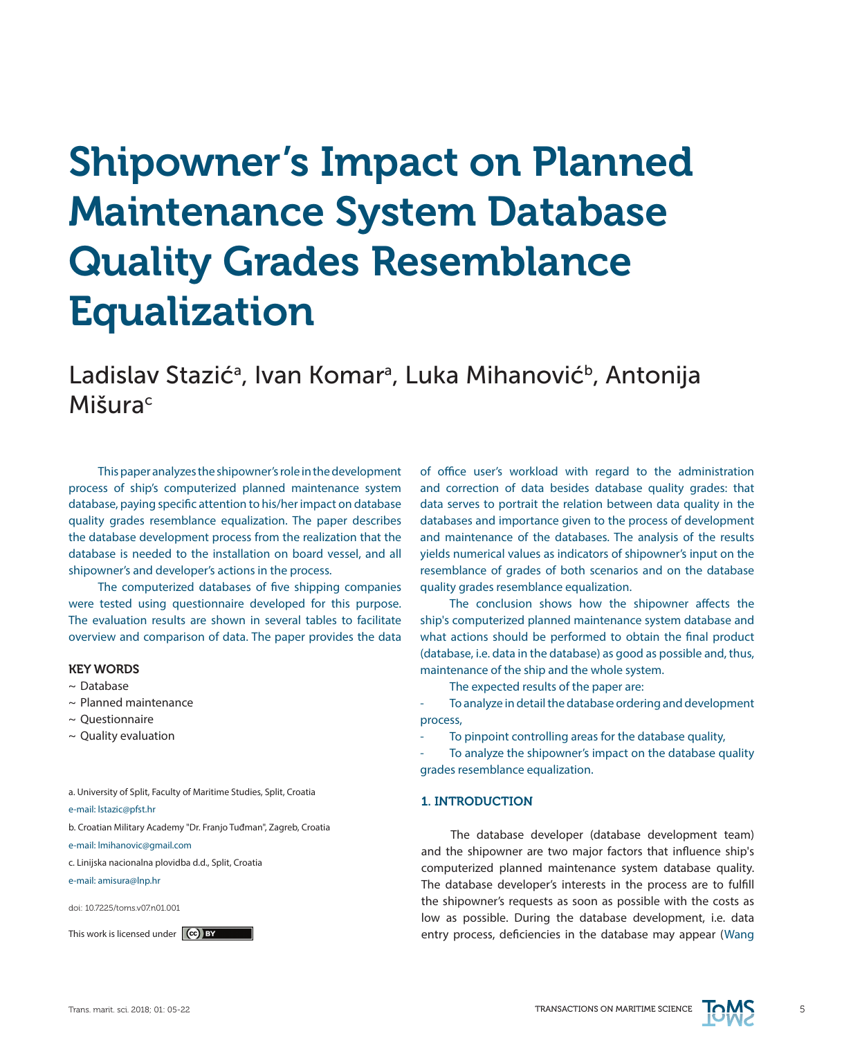# Shipowner's Impact on Planned Maintenance System Database Quality Grades Resemblance Equalization

Ladislav Stazić<sup>a</sup>, Ivan Komar<sup>a</sup>, Luka Mihanović<sup>b</sup>, Antonija **Mišura**c

This paper analyzes the shipowner's role in the development process of ship's computerized planned maintenance system database, paying specific attention to his/her impact on database quality grades resemblance equalization. The paper describes the database development process from the realization that the database is needed to the installation on board vessel, and all shipowner's and developer's actions in the process.

The computerized databases of five shipping companies were tested using questionnaire developed for this purpose. The evaluation results are shown in several tables to facilitate overview and comparison of data. The paper provides the data

## KEY WORDS

- ~ Database
- $\sim$  Planned maintenance
- ~ Questionnaire
- $\sim$  Quality evaluation

a. University of Split, Faculty of Maritime Studies, Split, Croatia

e-mail: lstazic@pfst.hr

b. Croatian Military Academy "Dr. Franjo Tuđman", Zagreb, Croatia

e-mail: lmihanovic@gmail.com

c. Linijska nacionalna plovidba d.d., Split, Croatia

e-mail: amisura@lnp.hr

doi: 10.7225/toms.v07.n01.001

This work is licensed under (cc) BY

of office user's workload with regard to the administration and correction of data besides database quality grades: that data serves to portrait the relation between data quality in the databases and importance given to the process of development and maintenance of the databases. The analysis of the results yields numerical values as indicators of shipowner's input on the resemblance of grades of both scenarios and on the database quality grades resemblance equalization.

The conclusion shows how the shipowner affects the ship's computerized planned maintenance system database and what actions should be performed to obtain the final product (database, i.e. data in the database) as good as possible and, thus, maintenance of the ship and the whole system.

The expected results of the paper are:

To analyze in detail the database ordering and development process,

To pinpoint controlling areas for the database quality,

To analyze the shipowner's impact on the database quality grades resemblance equalization.

## 1. INTRODUCTION

The database developer (database development team) and the shipowner are two major factors that influence ship's computerized planned maintenance system database quality. The database developer's interests in the process are to fulfill the shipowner's requests as soon as possible with the costs as low as possible. During the database development, i.e. data entry process, deficiencies in the database may appear (Wang

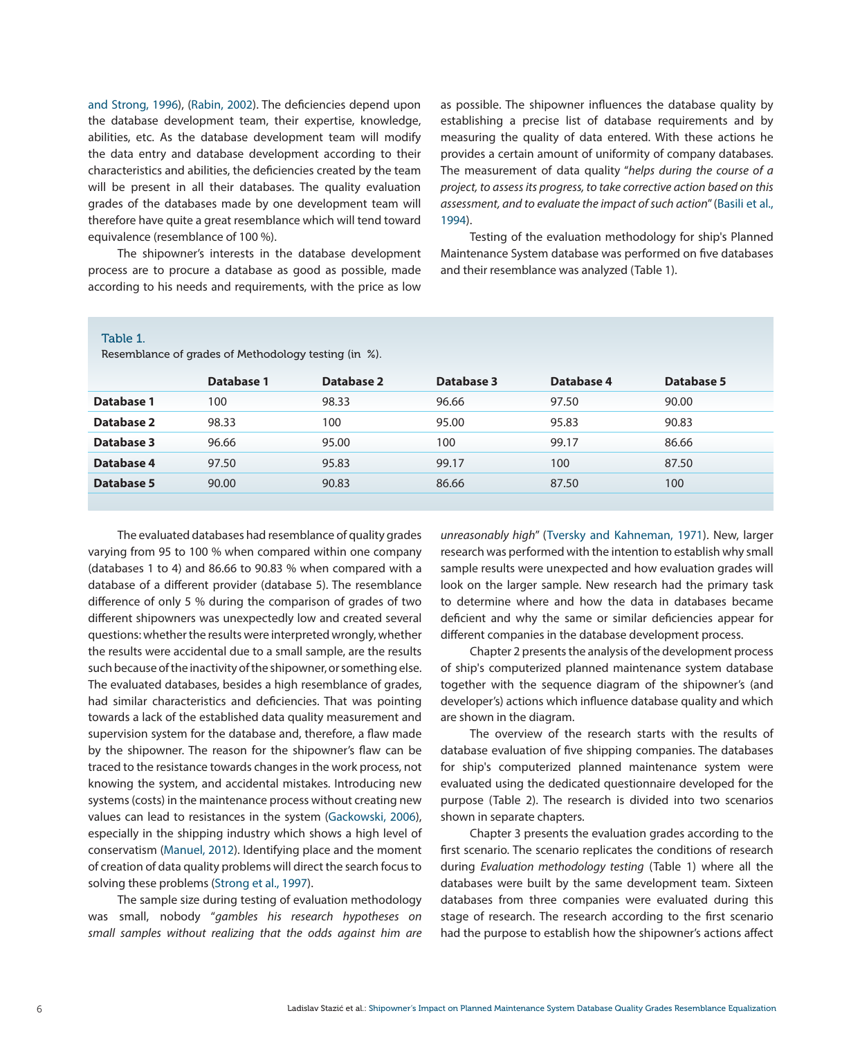and Strong, 1996), (Rabin, 2002). The deficiencies depend upon the database development team, their expertise, knowledge, abilities, etc. As the database development team will modify the data entry and database development according to their characteristics and abilities, the deficiencies created by the team will be present in all their databases. The quality evaluation grades of the databases made by one development team will therefore have quite a great resemblance which will tend toward equivalence (resemblance of 100 %).

The shipowner's interests in the database development process are to procure a database as good as possible, made according to his needs and requirements, with the price as low as possible. The shipowner influences the database quality by establishing a precise list of database requirements and by measuring the quality of data entered. With these actions he provides a certain amount of uniformity of company databases. The measurement of data quality "*helps during the course of a project, to assess its progress, to take corrective action based on this assessment, and to evaluate the impact of such action*'' (Basili et al., 1994).

Testing of the evaluation methodology for ship's Planned Maintenance System database was performed on five databases and their resemblance was analyzed (Table 1).

#### Table 1.

Resemblance of grades of Methodology testing (in %).

|            | Database 1 | Database 2 | Database 3 | Database 4 | Database 5 |
|------------|------------|------------|------------|------------|------------|
| Database 1 | 100        | 98.33      | 96.66      | 97.50      | 90.00      |
| Database 2 | 98.33      | 100        | 95.00      | 95.83      | 90.83      |
| Database 3 | 96.66      | 95.00      | 100        | 99.17      | 86.66      |
| Database 4 | 97.50      | 95.83      | 99.17      | 100        | 87.50      |
| Database 5 | 90.00      | 90.83      | 86.66      | 87.50      | 100        |
|            |            |            |            |            |            |

The evaluated databases had resemblance of quality grades varying from 95 to 100 % when compared within one company (databases 1 to 4) and 86.66 to 90.83 % when compared with a database of a different provider (database 5). The resemblance difference of only 5 % during the comparison of grades of two different shipowners was unexpectedly low and created several questions: whether the results were interpreted wrongly, whether the results were accidental due to a small sample, are the results such because of the inactivity of the shipowner, or something else. The evaluated databases, besides a high resemblance of grades, had similar characteristics and deficiencies. That was pointing towards a lack of the established data quality measurement and supervision system for the database and, therefore, a flaw made by the shipowner. The reason for the shipowner's flaw can be traced to the resistance towards changes in the work process, not knowing the system, and accidental mistakes. Introducing new systems (costs) in the maintenance process without creating new values can lead to resistances in the system (Gackowski, 2006), especially in the shipping industry which shows a high level of conservatism (Manuel, 2012). Identifying place and the moment of creation of data quality problems will direct the search focus to solving these problems (Strong et al., 1997).

The sample size during testing of evaluation methodology was small, nobody ''*gambles his research hypotheses on small samples without realizing that the odds against him are*  *unreasonably high*'' (Tversky and Kahneman, 1971). New, larger research was performed with the intention to establish why small sample results were unexpected and how evaluation grades will look on the larger sample. New research had the primary task to determine where and how the data in databases became deficient and why the same or similar deficiencies appear for different companies in the database development process.

Chapter 2 presents the analysis of the development process of ship's computerized planned maintenance system database together with the sequence diagram of the shipowner's (and developer's) actions which influence database quality and which are shown in the diagram.

The overview of the research starts with the results of database evaluation of five shipping companies. The databases for ship's computerized planned maintenance system were evaluated using the dedicated questionnaire developed for the purpose (Table 2). The research is divided into two scenarios shown in separate chapters.

Chapter 3 presents the evaluation grades according to the first scenario. The scenario replicates the conditions of research during *Evaluation methodology testing* (Table 1) where all the databases were built by the same development team. Sixteen databases from three companies were evaluated during this stage of research. The research according to the first scenario had the purpose to establish how the shipowner's actions affect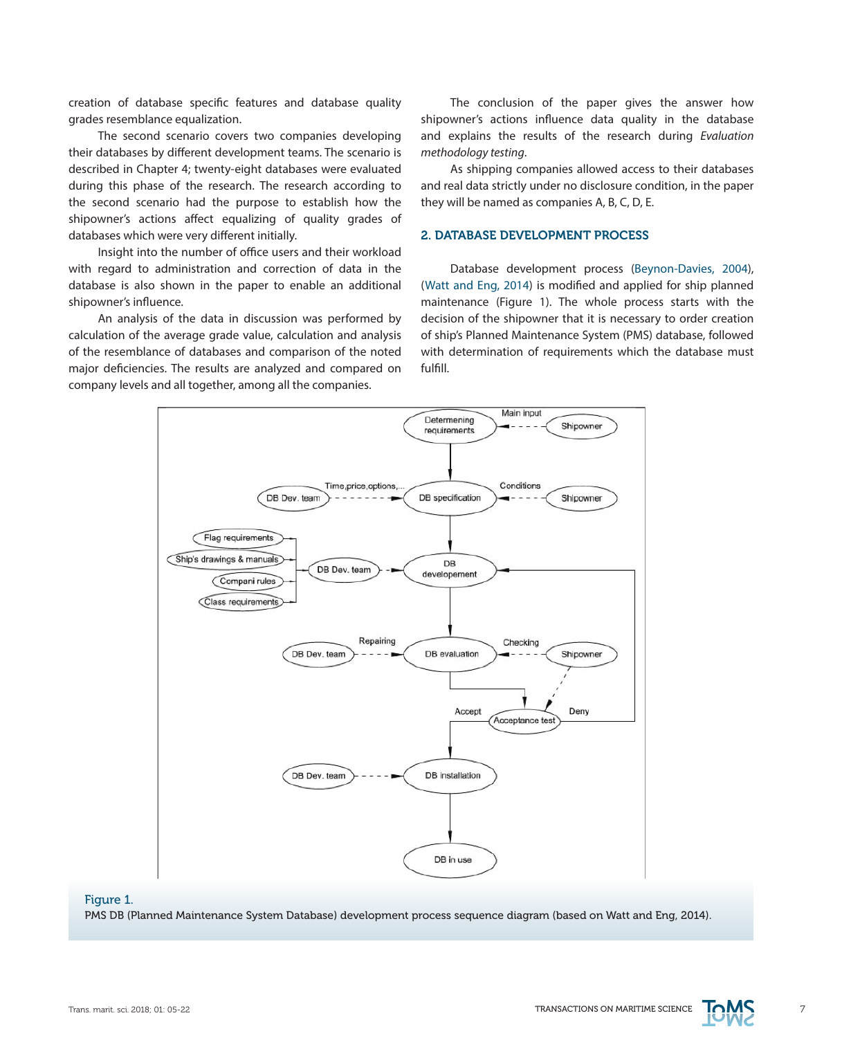creation of database specific features and database quality grades resemblance equalization.

The second scenario covers two companies developing their databases by different development teams. The scenario is described in Chapter 4; twenty-eight databases were evaluated during this phase of the research. The research according to the second scenario had the purpose to establish how the shipowner's actions affect equalizing of quality grades of databases which were very different initially.

Insight into the number of office users and their workload with regard to administration and correction of data in the database is also shown in the paper to enable an additional shipowner's influence.

An analysis of the data in discussion was performed by calculation of the average grade value, calculation and analysis of the resemblance of databases and comparison of the noted major deficiencies. The results are analyzed and compared on company levels and all together, among all the companies.

The conclusion of the paper gives the answer how shipowner's actions influence data quality in the database and explains the results of the research during *Evaluation methodology testing*.

As shipping companies allowed access to their databases and real data strictly under no disclosure condition, in the paper they will be named as companies A, B, C, D, E.

## 2. DATABASE DEVELOPMENT PROCESS

Database development process (Beynon-Davies, 2004), (Watt and Eng, 2014) is modified and applied for ship planned maintenance (Figure 1). The whole process starts with the decision of the shipowner that it is necessary to order creation of ship's Planned Maintenance System (PMS) database, followed with determination of requirements which the database must fulfill.



## Figure 1. PMS DB (Planned Maintenance System Database) development process sequence diagram (based on Watt and Eng, 2014).

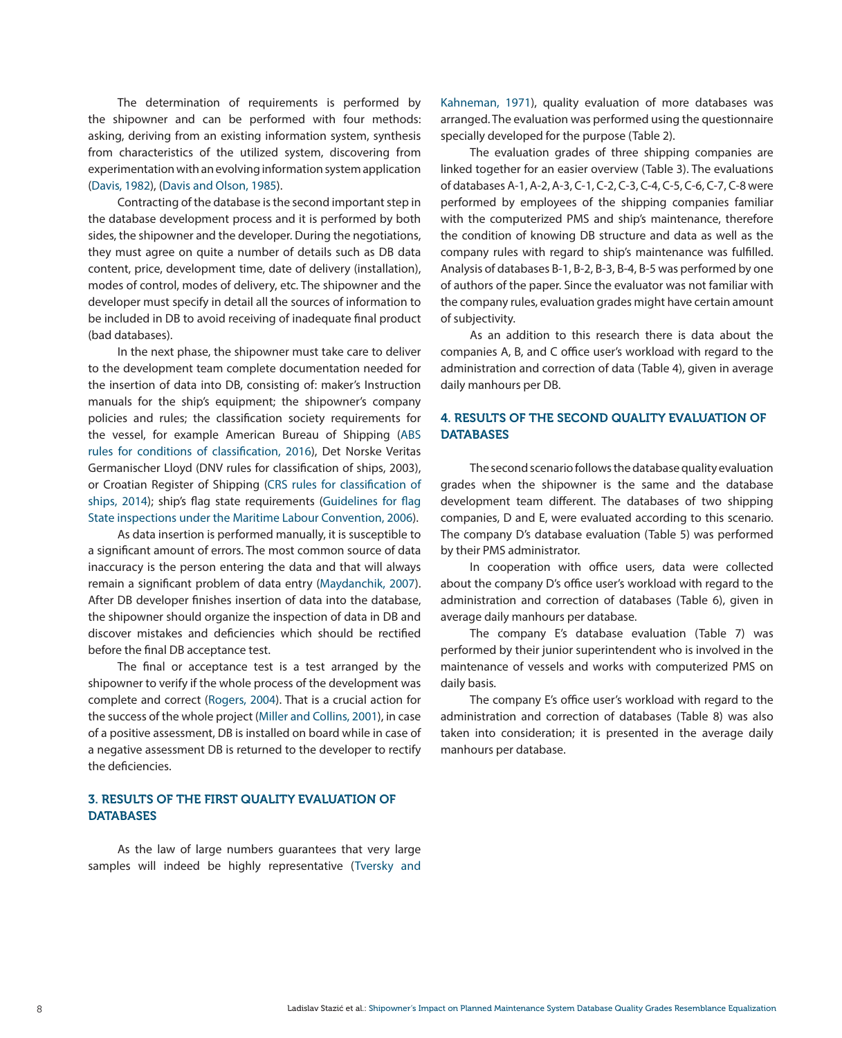The determination of requirements is performed by the shipowner and can be performed with four methods: asking, deriving from an existing information system, synthesis from characteristics of the utilized system, discovering from experimentation with an evolving information system application (Davis, 1982), (Davis and Olson, 1985).

Contracting of the database is the second important step in the database development process and it is performed by both sides, the shipowner and the developer. During the negotiations, they must agree on quite a number of details such as DB data content, price, development time, date of delivery (installation), modes of control, modes of delivery, etc. The shipowner and the developer must specify in detail all the sources of information to be included in DB to avoid receiving of inadequate final product (bad databases).

In the next phase, the shipowner must take care to deliver to the development team complete documentation needed for the insertion of data into DB, consisting of: maker's Instruction manuals for the ship's equipment; the shipowner's company policies and rules; the classification society requirements for the vessel, for example American Bureau of Shipping (ABS rules for conditions of classification, 2016), Det Norske Veritas Germanischer Lloyd (DNV rules for classification of ships, 2003), or Croatian Register of Shipping (CRS rules for classification of ships, 2014); ship's flag state requirements (Guidelines for flag State inspections under the Maritime Labour Convention, 2006).

As data insertion is performed manually, it is susceptible to a significant amount of errors. The most common source of data inaccuracy is the person entering the data and that will always remain a significant problem of data entry (Maydanchik, 2007). After DB developer finishes insertion of data into the database, the shipowner should organize the inspection of data in DB and discover mistakes and deficiencies which should be rectified before the final DB acceptance test.

The final or acceptance test is a test arranged by the shipowner to verify if the whole process of the development was complete and correct (Rogers, 2004). That is a crucial action for the success of the whole project (Miller and Collins, 2001), in case of a positive assessment, DB is installed on board while in case of a negative assessment DB is returned to the developer to rectify the deficiencies.

# 3. RESULTS OF THE FIRST QUALITY EVALUATION OF **DATABASES**

As the law of large numbers guarantees that very large samples will indeed be highly representative (Tversky and Kahneman, 1971), quality evaluation of more databases was arranged. The evaluation was performed using the questionnaire specially developed for the purpose (Table 2).

The evaluation grades of three shipping companies are linked together for an easier overview (Table 3). The evaluations of databases A-1, A-2, A-3, C-1, C-2, C-3, C-4, C-5, C-6, C-7, C-8 were performed by employees of the shipping companies familiar with the computerized PMS and ship's maintenance, therefore the condition of knowing DB structure and data as well as the company rules with regard to ship's maintenance was fulfilled. Analysis of databases B-1, B-2, B-3, B-4, B-5 was performed by one of authors of the paper. Since the evaluator was not familiar with the company rules, evaluation grades might have certain amount of subjectivity.

As an addition to this research there is data about the companies A, B, and C office user's workload with regard to the administration and correction of data (Table 4), given in average daily manhours per DB.

# 4. RESULTS OF THE SECOND QUALITY EVALUATION OF **DATABASES**

The second scenario follows the database quality evaluation grades when the shipowner is the same and the database development team different. The databases of two shipping companies, D and E, were evaluated according to this scenario. The company D's database evaluation (Table 5) was performed by their PMS administrator.

In cooperation with office users, data were collected about the company D's office user's workload with regard to the administration and correction of databases (Table 6), given in average daily manhours per database.

The company E's database evaluation (Table 7) was performed by their junior superintendent who is involved in the maintenance of vessels and works with computerized PMS on daily basis.

The company E's office user's workload with regard to the administration and correction of databases (Table 8) was also taken into consideration; it is presented in the average daily manhours per database.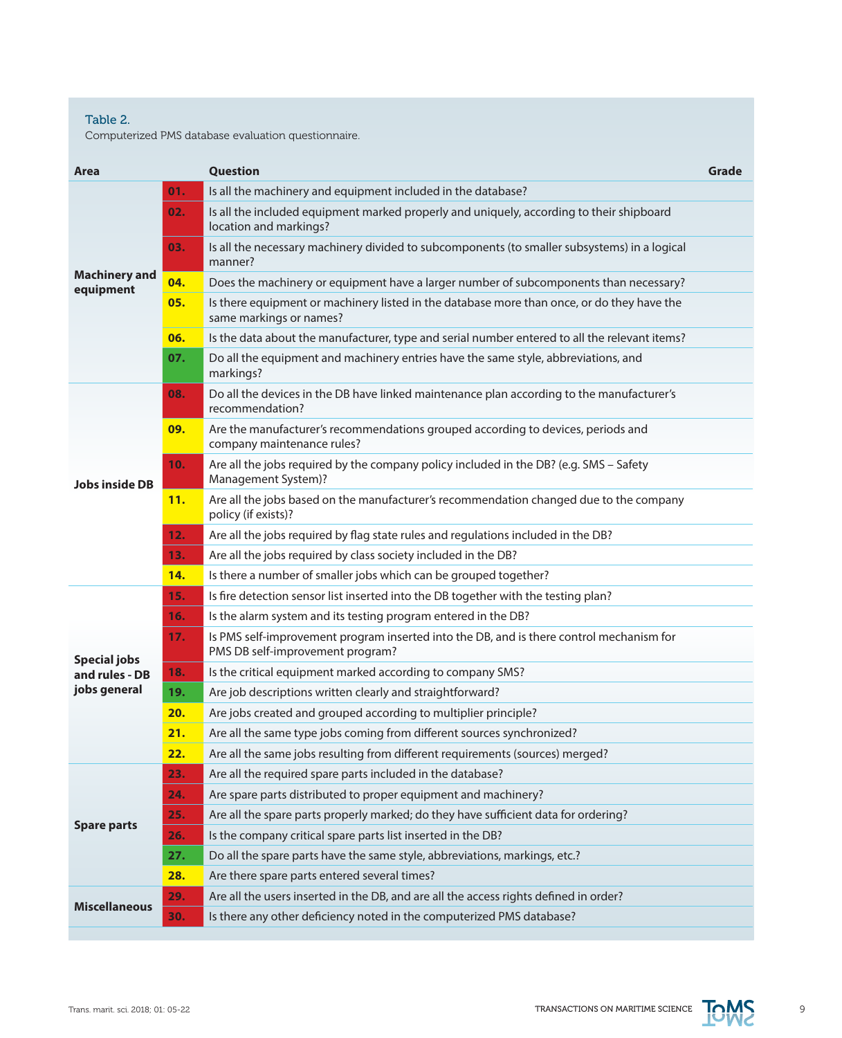# Table 2.

Computerized PMS database evaluation questionnaire.

| Area                              |     | <b>Question</b>                                                                                                              | Grade |
|-----------------------------------|-----|------------------------------------------------------------------------------------------------------------------------------|-------|
|                                   | 01. | Is all the machinery and equipment included in the database?                                                                 |       |
|                                   | 02. | Is all the included equipment marked properly and uniquely, according to their shipboard<br>location and markings?           |       |
|                                   | 03. | Is all the necessary machinery divided to subcomponents (to smaller subsystems) in a logical<br>manner?                      |       |
| <b>Machinery and</b><br>equipment | 04. | Does the machinery or equipment have a larger number of subcomponents than necessary?                                        |       |
|                                   | 05. | Is there equipment or machinery listed in the database more than once, or do they have the<br>same markings or names?        |       |
|                                   | 06. | Is the data about the manufacturer, type and serial number entered to all the relevant items?                                |       |
|                                   | 07. | Do all the equipment and machinery entries have the same style, abbreviations, and<br>markings?                              |       |
|                                   | 08. | Do all the devices in the DB have linked maintenance plan according to the manufacturer's<br>recommendation?                 |       |
|                                   | 09. | Are the manufacturer's recommendations grouped according to devices, periods and<br>company maintenance rules?               |       |
| <b>Jobs inside DB</b>             | 10. | Are all the jobs required by the company policy included in the DB? (e.g. SMS - Safety<br>Management System)?                |       |
|                                   | 11. | Are all the jobs based on the manufacturer's recommendation changed due to the company<br>policy (if exists)?                |       |
|                                   | 12. | Are all the jobs required by flag state rules and regulations included in the DB?                                            |       |
|                                   | 13. | Are all the jobs required by class society included in the DB?                                                               |       |
|                                   | 14. | Is there a number of smaller jobs which can be grouped together?                                                             |       |
|                                   | 15. | Is fire detection sensor list inserted into the DB together with the testing plan?                                           |       |
|                                   | 16. | Is the alarm system and its testing program entered in the DB?                                                               |       |
| <b>Special jobs</b>               | 17. | Is PMS self-improvement program inserted into the DB, and is there control mechanism for<br>PMS DB self-improvement program? |       |
| and rules - DB                    | 18. | Is the critical equipment marked according to company SMS?                                                                   |       |
| jobs general                      | 19. | Are job descriptions written clearly and straightforward?                                                                    |       |
|                                   | 20. | Are jobs created and grouped according to multiplier principle?                                                              |       |
|                                   | 21. | Are all the same type jobs coming from different sources synchronized?                                                       |       |
|                                   | 22. | Are all the same jobs resulting from different requirements (sources) merged?                                                |       |
|                                   | 23. | Are all the required spare parts included in the database?                                                                   |       |
|                                   | 24. | Are spare parts distributed to proper equipment and machinery?                                                               |       |
| <b>Spare parts</b>                | 25. | Are all the spare parts properly marked; do they have sufficient data for ordering?                                          |       |
|                                   | 26. | Is the company critical spare parts list inserted in the DB?                                                                 |       |
|                                   | 27. | Do all the spare parts have the same style, abbreviations, markings, etc.?                                                   |       |
|                                   | 28. | Are there spare parts entered several times?                                                                                 |       |
| <b>Miscellaneous</b>              | 29. | Are all the users inserted in the DB, and are all the access rights defined in order?                                        |       |
|                                   | 30. | Is there any other deficiency noted in the computerized PMS database?                                                        |       |

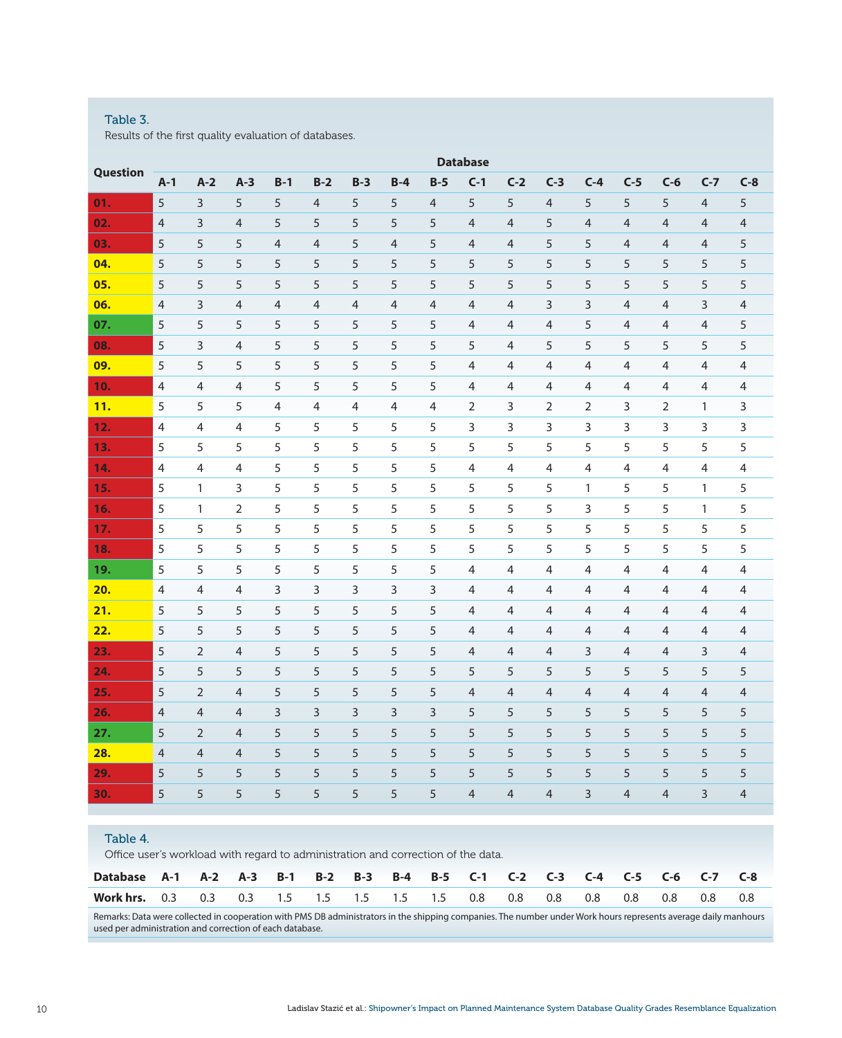## Table 3.

Results of the first quality evaluation of databases.

| Question |                |                |                |       |                |                |                | <b>Database</b> |                |                |                |                |                |                |                |                |
|----------|----------------|----------------|----------------|-------|----------------|----------------|----------------|-----------------|----------------|----------------|----------------|----------------|----------------|----------------|----------------|----------------|
|          | $A-1$          | $A-2$          | $A-3$          | $B-1$ | $B-2$          | $B-3$          | $B-4$          | $B-5$           | $C-1$          | $C-2$          | $C-3$          | $C-4$          | $C-5$          | $C-6$          | $C-7$          | $C-8$          |
| 01.      | 5              | 3              | 5              | 5     | $\overline{4}$ | 5              | 5              | $\overline{4}$  | 5              | 5              | $\overline{4}$ | 5              | 5              | 5              | $\overline{4}$ | 5              |
| 02.      | $\overline{4}$ | 3              | $\overline{4}$ | 5     | 5              | 5              | 5              | 5               | 4              | 4              | 5              | $\overline{4}$ | $\overline{4}$ | $\overline{4}$ | $\overline{4}$ | $\overline{4}$ |
| 03.      | 5              | 5              | 5              | 4     | $\overline{4}$ | 5              | $\overline{4}$ | 5               | $\overline{4}$ | 4              | 5              | 5              | $\overline{4}$ | $\overline{4}$ | $\overline{4}$ | 5              |
| 04.      | 5              | 5              | 5              | 5     | 5              | 5              | 5              | 5               | 5              | 5              | 5              | 5              | 5              | 5              | 5              | 5              |
| 05.      | 5              | 5              | 5              | 5     | 5              | 5              | 5              | 5               | 5              | 5              | 5              | 5              | 5              | 5              | 5              | 5              |
| 06.      | 4              | 3              | 4              | 4     | 4              | $\overline{4}$ | $\overline{4}$ | $\overline{4}$  | 4              | 4              | 3              | 3              | $\overline{4}$ | 4              | 3              | $\overline{4}$ |
| 07.      | 5              | 5              | 5              | 5     | 5              | 5              | 5              | 5               | $\overline{4}$ | $\overline{4}$ | 4              | 5              | 4              | 4              | $\overline{4}$ | 5              |
| 08.      | 5              | 3              | 4              | 5     | 5              | 5              | 5              | 5               | 5              | $\overline{4}$ | 5              | 5              | 5              | 5              | 5              | 5              |
| 09.      | 5              | 5              | 5              | 5     | 5              | 5              | 5              | 5               | $\overline{4}$ | 4              | 4              | 4              | $\overline{4}$ | $\overline{4}$ | $\overline{4}$ | 4              |
| 10.      | $\overline{4}$ | 4              | $\overline{4}$ | 5     | 5              | 5              | 5              | 5               | $\overline{4}$ | 4              | 4              | 4              | 4              | 4              | $\overline{4}$ | 4              |
| 11.      | 5              | 5              | 5              | 4     | 4              | 4              | 4              | 4               | $\overline{2}$ | 3              | $\overline{2}$ | $\overline{2}$ | 3              | $\overline{2}$ | $\mathbf{1}$   | 3              |
| 12.      | $\overline{4}$ | 4              | 4              | 5     | 5              | 5              | 5              | 5               | 3              | 3              | 3              | 3              | 3              | 3              | 3              | 3              |
| 13.      | 5              | 5              | 5              | 5     | 5              | 5              | 5              | 5               | 5              | 5              | 5              | 5              | 5              | 5              | 5              | 5              |
| 14.      | $\overline{4}$ | $\overline{4}$ | 4              | 5     | 5              | 5              | 5              | 5               | $\overline{4}$ | $\overline{4}$ | 4              | 4              | 4              | 4              | 4              | 4              |
| 15.      | 5              | 1              | 3              | 5     | 5              | 5              | 5              | 5               | 5              | 5              | 5              | 1              | 5              | 5              | $\mathbf{1}$   | 5              |
| 16.      | 5              | 1              | $\overline{2}$ | 5     | 5              | 5              | 5              | 5               | 5              | 5              | 5              | 3              | 5              | 5              | $\mathbf{1}$   | 5              |
| 17.      | 5              | 5              | 5              | 5     | 5              | 5              | 5              | 5               | 5              | 5              | 5              | 5              | 5              | 5              | 5              | 5              |
| 18.      | 5              | 5              | 5              | 5     | 5              | 5              | 5              | 5               | 5              | 5              | 5              | 5              | 5              | 5              | 5              | 5              |
| 19.      | 5              | 5              | 5              | 5     | 5              | 5              | 5              | 5               | $\overline{4}$ | $\overline{4}$ | 4              | 4              | 4              | 4              | 4              | 4              |
| 20.      | 4              | 4              | 4              | 3     | 3              | 3              | 3              | 3               | $\overline{4}$ | 4              | 4              | 4              | 4              | 4              | $\overline{4}$ | 4              |
| 21.      | 5              | 5              | 5              | 5     | 5              | 5              | 5              | 5               | $\overline{4}$ | 4              | $\overline{4}$ | $\overline{4}$ | 4              | $\overline{4}$ | $\overline{4}$ | 4              |
| 22.      | 5              | 5              | 5              | 5     | 5              | 5              | 5              | 5               | $\overline{4}$ | $\overline{4}$ | $\overline{4}$ | 4              | 4              | 4              | $\overline{4}$ | 4              |
| 23.      | 5              | $\overline{2}$ | $\overline{4}$ | 5     | 5              | 5              | 5              | 5               | $\overline{4}$ | $\overline{4}$ | $\overline{4}$ | 3              | $\overline{4}$ | $\overline{4}$ | 3              | $\overline{4}$ |
| 24.      | 5              | 5              | 5              | 5     | 5              | 5              | 5              | 5               | 5              | 5              | 5              | 5              | 5              | 5              | 5              | 5              |
| 25.      | 5              | $\overline{2}$ | $\overline{4}$ | 5     | 5              | 5              | 5              | 5               | $\overline{4}$ | 4              | $\overline{4}$ | $\overline{4}$ | 4              | $\overline{4}$ | $\overline{4}$ | $\overline{4}$ |
| 26.      | $\overline{4}$ | $\overline{4}$ | $\overline{4}$ | 3     | 3              | 3              | 3              | 3               | 5              | 5              | 5              | 5              | 5              | 5              | 5              | 5              |
| 27.      | 5              | $\overline{2}$ | $\overline{4}$ | 5     | 5              | 5              | 5              | 5               | 5              | 5              | 5              | 5              | 5              | 5              | 5              | 5              |
| 28.      | 4              | $\overline{4}$ | $\overline{4}$ | 5     | 5              | 5              | 5              | 5               | 5              | 5              | 5              | 5              | 5              | 5              | 5              | 5              |
| 29.      | 5              | 5              | 5              | 5     | 5              | 5              | 5              | 5               | 5              | 5              | 5              | 5              | 5              | 5              | 5              | 5              |
| 30.      | 5              | 5              | 5              | 5     | 5              | 5              | 5              | 5               | $\overline{4}$ | $\overline{4}$ | $\overline{4}$ | 3              | $\overline{4}$ | $\overline{4}$ | 3              | $\overline{4}$ |
|          |                |                |                |       |                |                |                |                 |                |                |                |                |                |                |                |                |

# Table 4.

Office user's workload with regard to administration and correction of the data.

| Database A-1 A-2 A-3 B-1 B-2 B-3 B-4 B-5 C-1 C-2 C-3 C-4 C-5 C-6 C-7 C-8 |  |  |  |  |  |  |     |     |  |
|--------------------------------------------------------------------------|--|--|--|--|--|--|-----|-----|--|
| <b>Work hrs.</b> 0.3 0.3 0.3 1.5 1.5 1.5 1.5 1.5 0.8 0.8 0.8 0.8 0.8     |  |  |  |  |  |  | 0.8 | 0.8 |  |

Remarks: Data were collected in cooperation with PMS DB administrators in the shipping companies. The number under Work hours represents average daily manhours used per administration and correction of each database.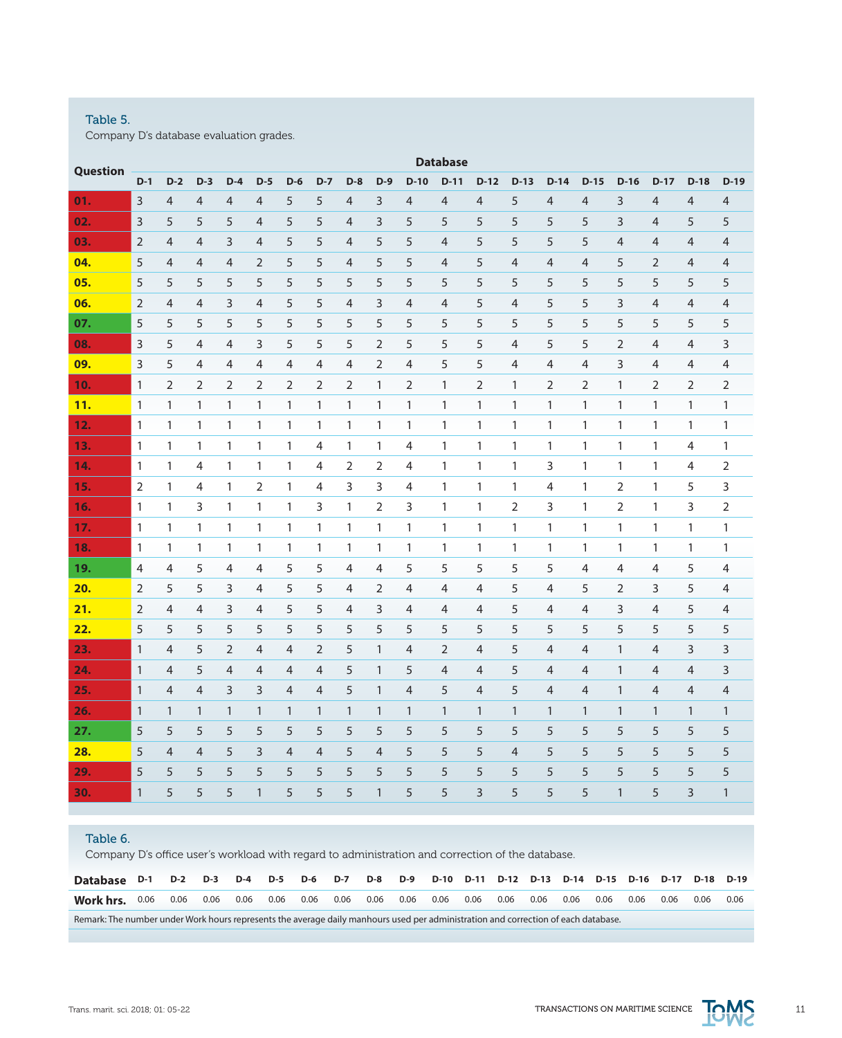# Table 5.

Company D's database evaluation grades.

| Question |                |                |                |                |                |                |                |                |                |                | <b>Database</b> |                |                |                |                |                |                |                |                |
|----------|----------------|----------------|----------------|----------------|----------------|----------------|----------------|----------------|----------------|----------------|-----------------|----------------|----------------|----------------|----------------|----------------|----------------|----------------|----------------|
|          | $D-1$          | $D-2$          | $D-3$          | $D-4$          | $D-5$          | $D-6$          | $D-7$          | $D-8$          | $D-9$          | $D-10$         | $D-11$          | $D-12$         | $D-13$         | $D-14$         | $D-15$         | $D-16$         | $D-17$         | $D-18$         | $D-19$         |
| 01.      | 3              | $\overline{4}$ | $\overline{4}$ | $\overline{4}$ | $\overline{4}$ | 5              | 5              | $\overline{4}$ | 3              | $\overline{4}$ | $\overline{4}$  | $\overline{4}$ | 5              | $\overline{4}$ | 4              | 3              | $\overline{4}$ | $\overline{4}$ | $\overline{4}$ |
| 02.      | 3              | 5              | 5              | 5              | $\overline{4}$ | 5              | 5              | 4              | 3              | 5              | 5               | 5              | 5              | 5              | 5              | 3              | 4              | 5              | 5              |
| 03.      | $\overline{2}$ | $\overline{4}$ | 4              | 3              | $\overline{4}$ | 5              | 5              | $\overline{4}$ | 5              | 5              | $\overline{4}$  | 5              | 5              | 5              | 5              | 4              | 4              | $\overline{4}$ | $\overline{4}$ |
| 04.      | 5              | 4              | 4              | 4              | $\overline{2}$ | 5              | 5              | 4              | 5              | 5              | 4               | 5              | 4              | 4              | 4              | 5              | 2              | 4              | 4              |
| 05.      | 5              | 5              | 5              | 5              | 5              | 5              | 5              | 5              | 5              | 5              | 5               | 5              | 5              | 5              | 5              | 5              | 5              | 5              | 5              |
| 06.      | $\overline{2}$ | 4              | $\overline{4}$ | 3              | 4              | 5              | 5              | $\overline{4}$ | 3              | 4              | 4               | 5              | $\overline{4}$ | 5              | 5              | 3              | 4              | 4              | $\overline{4}$ |
| 07.      | 5              | 5              | 5              | 5              | 5              | 5              | 5              | 5              | 5              | 5              | 5               | 5              | 5              | 5              | 5              | 5              | 5              | 5              | 5              |
| 08.      | 3              | 5              | 4              | 4              | 3              | 5              | 5              | 5              | 2              | 5              | 5               | 5              | 4              | 5              | 5              | $\overline{2}$ | 4              | 4              | 3              |
| 09.      | 3              | 5              | 4              | 4              | 4              | 4              | 4              | 4              | 2              | 4              | 5               | 5              | 4              | 4              | 4              | 3              | 4              | 4              | 4              |
| 10.      | $\mathbf{1}$   | 2              | 2              | $\overline{2}$ | $\overline{2}$ | $\overline{2}$ | $\overline{2}$ | 2              | 1              | 2              | 1               | $\overline{2}$ | 1              | $\overline{2}$ | $\overline{2}$ | 1              | 2              | $\overline{2}$ | $\overline{2}$ |
| 11.      | $\mathbf{1}$   | $\mathbf{1}$   | $\mathbf{1}$   | 1              | $\mathbf{1}$   | 1              | 1              | 1              | $\mathbf{1}$   | 1              | $\mathbf{1}$    | $\mathbf{1}$   | $\mathbf{1}$   | $\mathbf{1}$   | $\mathbf{1}$   | 1              | $\mathbf{1}$   | $\mathbf{1}$   | 1              |
| 12.      | $\mathbf{1}$   | 1              | $\mathbf{1}$   | 1              | $\mathbf{1}$   | $\mathbf{1}$   | $\mathbf{1}$   | $\mathbf{1}$   | 1              | 1              | $\mathbf{1}$    | $\mathbf{1}$   | $\mathbf{1}$   | $\mathbf{1}$   | $\mathbf{1}$   | 1              | $\mathbf{1}$   | $\mathbf{1}$   | $\mathbf{1}$   |
| 13.      | $\mathbf{1}$   | 1              | 1              | $\mathbf{1}$   | $\mathbf{1}$   | 1              | 4              | 1              | 1              | 4              | 1               | 1              | 1              | $\mathbf{1}$   | 1              | 1              | 1              | 4              | 1              |
| 14.      | 1              | 1              | 4              | $\mathbf{1}$   | 1              | 1              | 4              | 2              | 2              | $\overline{4}$ | $\mathbf{1}$    | 1              | $\mathbf{1}$   | 3              | $\mathbf{1}$   | 1              | $\mathbf{1}$   | 4              | 2              |
| 15.      | $\overline{2}$ | 1              | 4              | $\mathbf{1}$   | $\overline{2}$ | $\mathbf{1}$   | 4              | 3              | 3              | $\overline{4}$ | 1               | $\mathbf{1}$   | 1              | 4              | 1              | 2              | $\mathbf{1}$   | 5              | 3              |
| 16.      | 1              | 1              | 3              | $\mathbf{1}$   | $\mathbf{1}$   | 1              | 3              | 1              | 2              | 3              | 1               | $\mathbf{1}$   | 2              | 3              | 1              | 2              | 1              | 3              | 2              |
| 17.      | $\mathbf{1}$   | 1              | $\mathbf{1}$   | 1              | 1              | $\mathbf{1}$   | 1              | 1              | 1              | $\mathbf{1}$   | $\mathbf{1}$    | 1              | 1              | $\mathbf{1}$   | $\mathbf{1}$   | 1              | $\mathbf{1}$   | 1              | 1              |
| 18.      | 1              | 1              | 1              | $\mathbf{1}$   | $\mathbf{1}$   | 1              | 1              | 1              | 1              | 1              | 1               | 1              | $\mathbf{1}$   | 1              | 1              | 1              | $\mathbf{1}$   | $\mathbf{1}$   | 1              |
| 19.      | 4              | 4              | 5              | 4              | 4              | 5              | 5              | 4              | 4              | 5              | 5               | 5              | 5              | 5              | 4              | 4              | $\overline{4}$ | 5              | 4              |
| 20.      | $\overline{2}$ | 5              | 5              | 3              | 4              | 5              | 5              | 4              | $\overline{2}$ | 4              | 4               | 4              | 5              | 4              | 5              | $\overline{2}$ | 3              | 5              | $\overline{4}$ |
| 21.      | 2              | $\overline{4}$ | 4              | 3              | 4              | 5              | 5              | 4              | 3              | $\overline{4}$ | $\overline{4}$  | 4              | 5              | 4              | 4              | 3              | 4              | 5              | $\overline{4}$ |
| 22.      | 5              | 5              | 5              | 5              | 5              | 5              | 5              | 5              | 5              | 5              | 5               | 5              | 5              | 5              | 5              | 5              | 5              | 5              | 5              |
| 23.      | $\mathbf{1}$   | 4              | 5              | $\overline{2}$ | 4              | 4              | 2              | 5              | 1              | $\overline{4}$ | 2               | 4              | 5              | $\overline{4}$ | 4              | 1              | $\overline{4}$ | 3              | 3              |
| 24.      | $\mathbf{1}$   | 4              | 5              | 4              | $\overline{4}$ | 4              | $\overline{4}$ | 5              | 1              | 5              | 4               | $\overline{4}$ | 5              | $\overline{4}$ | 4              | $\mathbf{1}$   | 4              | 4              | 3              |
| 25.      | $\mathbf{1}$   | 4              | 4              | 3              | 3              | 4              | $\overline{4}$ | 5              | $\mathbf{1}$   | $\overline{4}$ | 5               | $\overline{4}$ | 5              | $\overline{4}$ | $\overline{4}$ | 1              | 4              | $\overline{4}$ | $\overline{4}$ |
| 26.      | $\mathbf{1}$   | 1              | $\mathbf{1}$   | $\mathbf{1}$   | $\mathbf{1}$   | 1              | $\mathbf{1}$   | $\mathbf{1}$   | $\mathbf{1}$   | $\mathbf{1}$   | $\mathbf{1}$    | $\mathbf{1}$   | $\mathbf{1}$   | 1              | $\mathbf{1}$   | 1              | $\mathbf{1}$   | $\mathbf{1}$   | $\mathbf{1}$   |
| 27.      | 5              | 5              | 5              | 5              | 5              | 5              | 5              | 5              | 5              | 5              | 5               | 5              | 5              | 5              | 5              | 5              | 5              | 5              | 5              |
| 28.      | 5              | $\overline{4}$ | $\overline{4}$ | 5              | 3              | 4              | 4              | 5              | 4              | 5              | 5               | 5              | 4              | 5              | 5              | 5              | 5              | 5              | 5              |
| 29.      | 5              | 5              | 5              | 5              | 5              | 5              | 5              | 5              | 5              | 5              | 5               | 5              | 5              | 5              | 5              | 5              | 5              | 5              | 5              |
| 30.      | $\mathbf{1}$   | 5              | 5              | 5              | $\mathbf{1}$   | 5              | 5              | 5              | $\mathbf{1}$   | 5              | 5               | 3              | 5              | 5              | 5              | $\mathbf{1}$   | 5              | 3              | $\mathbf{1}$   |

# Table 6.

Company D's office user's workload with regard to administration and correction of the database.

| Database D-1 D-2 D-3 D-4 D-5 D-6 D-7 D-8 D-9 D-10 D-11 D-12 D-13 D-14 D-15 D-16 D-17 D-18 D-19                                     |  |  |  |  |  |  |  |  |                |      |
|------------------------------------------------------------------------------------------------------------------------------------|--|--|--|--|--|--|--|--|----------------|------|
|                                                                                                                                    |  |  |  |  |  |  |  |  | 0.06 0.06 0.06 | 0.06 |
| Remark: The number under Work hours represents the average daily manhours used per administration and correction of each database. |  |  |  |  |  |  |  |  |                |      |

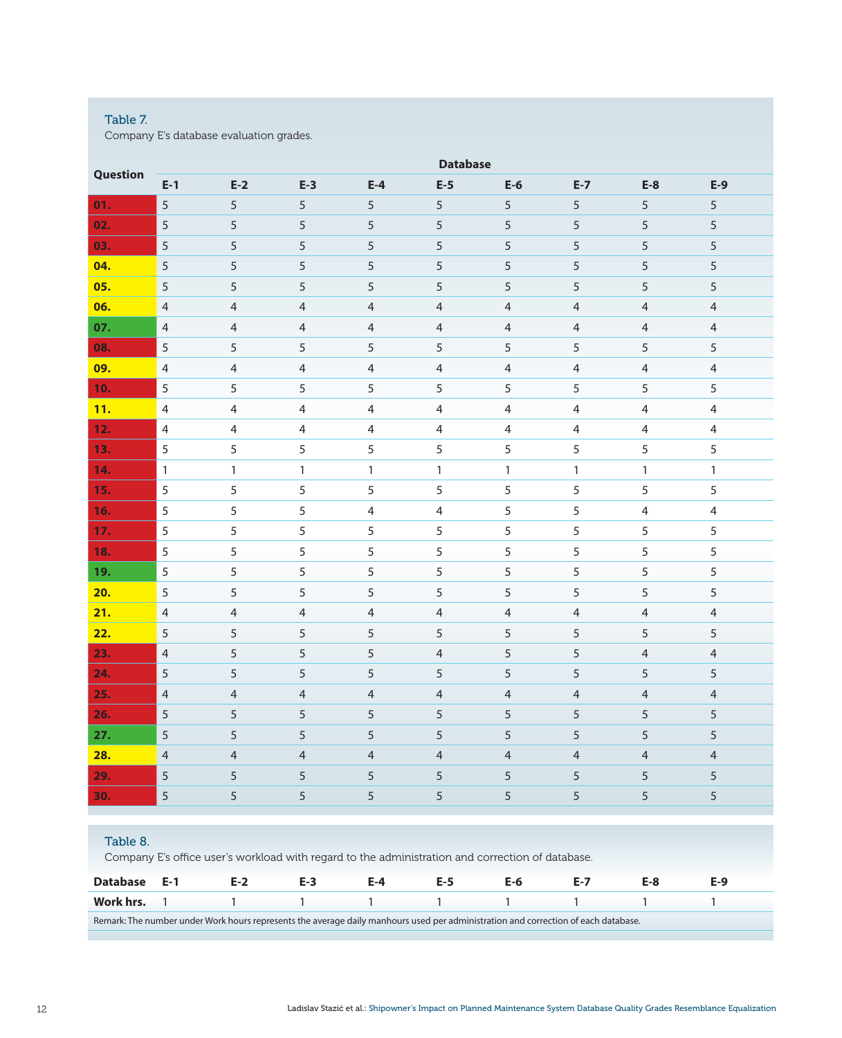# Table 7.

Company E's database evaluation grades.

| Question |                |                |                |                | <b>Database</b> |                |                |                          |                |
|----------|----------------|----------------|----------------|----------------|-----------------|----------------|----------------|--------------------------|----------------|
|          | $E-1$          | $E-2$          | $E-3$          | $E-4$          | $E-5$           | $E-6$          | $E-7$          | $E-8$                    | $E-9$          |
| 01.      | 5              | 5              | 5              | 5              | 5               | 5              | 5              | 5                        | 5              |
| 02.      | $\sqrt{5}$     | 5              | $\sqrt{5}$     | $\sqrt{5}$     | $\sqrt{5}$      | 5              | 5              | 5                        | 5              |
| 03.      | $\sqrt{5}$     | 5              | 5              | $\sqrt{5}$     | 5               | $\sqrt{5}$     | 5              | 5                        | 5              |
| 04.      | 5              | 5              | $\overline{5}$ | $\sqrt{5}$     | 5               | $\overline{5}$ | 5              | 5                        | 5              |
| 05.      | 5              | 5              | 5              | 5              | 5               | 5              | 5              | 5                        | 5              |
| 06.      | $\overline{4}$ | $\overline{4}$ | $\overline{4}$ | $\overline{4}$ | $\overline{4}$  | $\overline{4}$ | $\overline{4}$ | $\overline{\mathcal{A}}$ | $\overline{4}$ |
| 07.      | $\overline{4}$ | $\overline{4}$ | $\overline{4}$ | $\overline{4}$ | $\overline{4}$  | $\overline{4}$ | $\overline{4}$ | $\overline{4}$           | $\overline{4}$ |
| 08.      | 5              | 5              | 5              | 5              | 5               | 5              | 5              | 5                        | 5              |
| 09.      | $\overline{4}$ | $\overline{4}$ | $\overline{4}$ | $\overline{4}$ | $\overline{4}$  | $\overline{4}$ | $\overline{4}$ | $\overline{4}$           | $\overline{4}$ |
| 10.      | 5              | 5              | 5              | 5              | 5               | 5              | 5              | 5                        | 5              |
| 11.      | $\overline{4}$ | $\overline{4}$ | $\overline{4}$ | $\overline{4}$ | $\overline{4}$  | $\overline{4}$ | $\overline{4}$ | $\overline{4}$           | 4              |
| 12.      | $\overline{4}$ | $\overline{4}$ | $\overline{4}$ | $\overline{4}$ | $\overline{4}$  | $\overline{4}$ | $\overline{4}$ | $\overline{4}$           | $\overline{4}$ |
| 13.      | $\sqrt{5}$     | 5              | 5              | 5              | 5               | 5              | 5              | 5                        | 5              |
| 14.      | $\mathbf{1}$   | $\mathbf{1}$   | $\mathbf{1}$   | $\mathbf{1}$   | $\mathbf{1}$    | $\mathbf{1}$   | $\mathbf{1}$   | $\mathbf{1}$             | $\mathbf{1}$   |
| 15.      | 5              | 5              | 5              | 5              | 5               | 5              | 5              | 5                        | 5              |
| 16.      | 5              | 5              | 5              | $\overline{4}$ | $\overline{4}$  | 5              | 5              | $\overline{4}$           | $\overline{4}$ |
| 17.      | 5              | 5              | 5              | 5              | 5               | 5              | 5              | 5                        | 5              |
| 18.      | 5              | 5              | 5              | 5              | 5               | 5              | 5              | 5                        | 5              |
| 19.      | $\sqrt{5}$     | 5              | 5              | 5              | 5               | 5              | 5              | 5                        | 5              |
| 20.      | 5              | 5              | 5              | 5              | 5               | 5              | 5              | 5                        | 5              |
| 21.      | $\overline{4}$ | $\overline{4}$ | $\overline{4}$ | $\overline{4}$ | $\overline{4}$  | $\overline{4}$ | $\overline{4}$ | 4                        | $\overline{4}$ |
| 22.      | 5              | 5              | 5              | 5              | 5               | 5              | 5              | 5                        | 5              |
| 23.      | $\overline{4}$ | 5              | 5              | 5              | $\overline{4}$  | 5              | 5              | $\overline{\mathcal{A}}$ | $\overline{4}$ |
| 24.      | 5              | 5              | 5              | $\sqrt{5}$     | 5               | 5              | 5              | 5                        | 5              |
| 25.      | $\overline{4}$ | $\overline{4}$ | $\overline{4}$ | $\overline{4}$ | $\overline{4}$  | $\overline{4}$ | $\overline{4}$ | $\overline{4}$           | $\overline{4}$ |
| 26.      | $\overline{5}$ | $\sqrt{5}$     | 5              | $\overline{5}$ | 5               | 5              | 5              | 5                        | 5              |
| 27.      | $\overline{5}$ | $\sqrt{5}$     | $\sqrt{5}$     | $\sqrt{5}$     | 5               | 5              | 5              | 5                        | 5              |
| 28.      | $\overline{4}$ | $\overline{4}$ | $\overline{4}$ | $\overline{4}$ | $\overline{4}$  | $\overline{4}$ | $\overline{4}$ | $\overline{4}$           | $\overline{4}$ |
| 29.      | 5              | 5              | 5              | 5              | 5               | 5              | 5              | 5                        | 5              |
| 30.      | 5              | 5              | 5              | 5              | 5               | 5              | 5              | 5                        | 5              |
|          |                |                |                |                |                 |                |                |                          |                |
|          |                |                |                |                |                 |                |                |                          |                |

# Table 8.

Company E's office user's workload with regard to the administration and correction of database.

| Database E-1 | E-2                                                                                                                                | $E-3$ | F-4 |  |  |  |
|--------------|------------------------------------------------------------------------------------------------------------------------------------|-------|-----|--|--|--|
|              |                                                                                                                                    |       |     |  |  |  |
|              | Remark: The number under Work hours represents the average daily manhours used per administration and correction of each database. |       |     |  |  |  |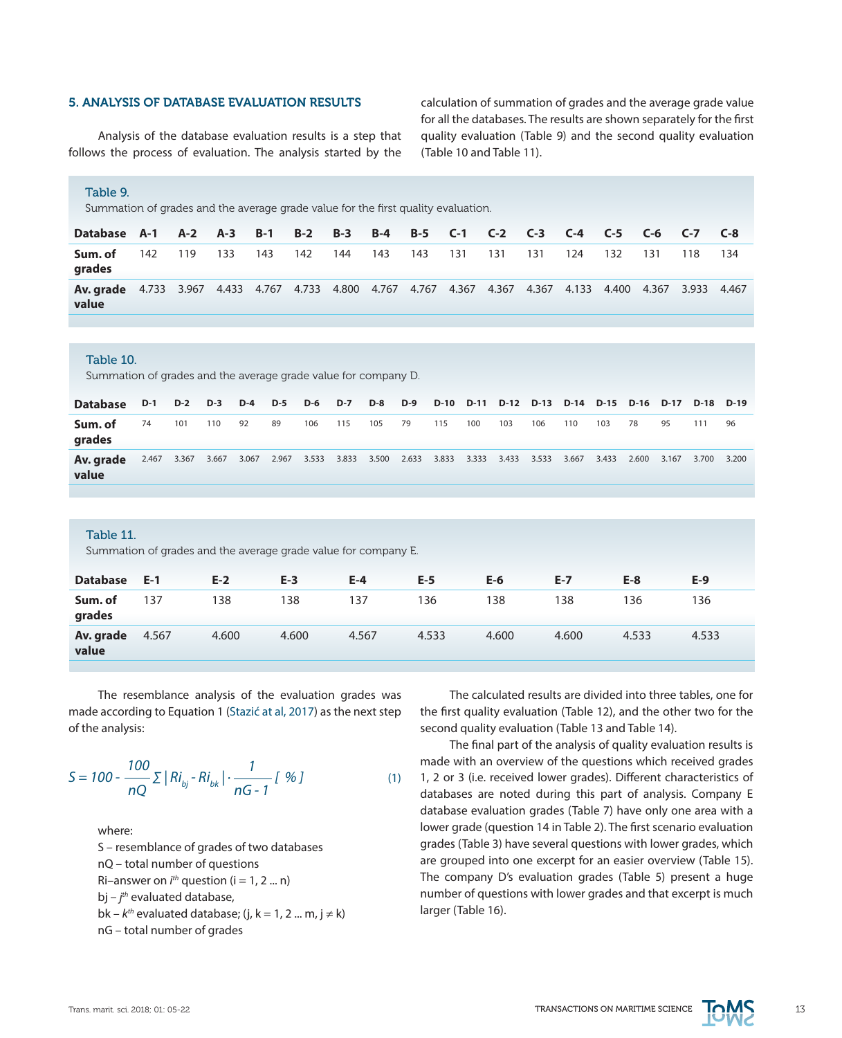## 5. ANALYSIS OF DATABASE EVALUATION RESULTS

Analysis of the database evaluation results is a step that follows the process of evaluation. The analysis started by the calculation of summation of grades and the average grade value for all the databases. The results are shown separately for the first quality evaluation (Table 9) and the second quality evaluation (Table 10 and Table 11).

## Table 9.

Summation of grades and the average grade value for the first quality evaluation.

| Database A-1 A-2 A-3 B-1 B-2 B-3 B-4 B-5 C-1 C-2 C-3 C-4 C-5 C-6 C-7 C-8                                           |     |     |     |     |     |     |         |         |     |     |     |      |     |     |
|--------------------------------------------------------------------------------------------------------------------|-----|-----|-----|-----|-----|-----|---------|---------|-----|-----|-----|------|-----|-----|
| Sum. of<br>grades                                                                                                  | 142 | 119 | 133 | 143 | 142 | 144 | 143 143 | 131 131 | 131 | 124 | 132 | -131 | 118 | 134 |
| Av. grade 4.733 3.967 4.433 4.767 4.733 4.800 4.767 4.767 4.367 4.367 4.367 4.133 4.400 4.367 3.933 4.467<br>value |     |     |     |     |     |     |         |         |     |     |     |      |     |     |

#### Table 10.

Summation of grades and the average grade value for company D.

| <b>Database</b>    |    | D-1 D-2 D-3 D-4 D-5 D-6 D-7 D-8 D-9 |       |       |    |                                                       |     |     |    |     |     | D-10 D-11 D-12 D-13 D-14 D-15 D-16 D-17 D-18 D-19 |     |       |       |       |       |       |       |
|--------------------|----|-------------------------------------|-------|-------|----|-------------------------------------------------------|-----|-----|----|-----|-----|---------------------------------------------------|-----|-------|-------|-------|-------|-------|-------|
| Sum. of<br>grades  | 74 | 101                                 | 110   | 92    | 89 | 106                                                   | 115 | 105 | 79 | 115 | 100 | 103                                               | 106 | 110   | 103   | - 78  | 95    | 111   | 96    |
| Av. grade<br>value |    | 2.467 3.367                         | 3.667 | 3.067 |    | 2.967 3.533 3.833 3.500 2.633 3.833 3.333 3.433 3.533 |     |     |    |     |     |                                                   |     | 3.667 | 3.433 | 2.600 | 3.167 | 3.700 | 3.200 |

#### Table 11.

Summation of grades and the average grade value for company E.

| <b>Database</b>    | $E-1$ | $E-2$ | $E-3$ | $E-4$ | $E-5$ | $E-6$ | $E-7$ | $E-8$ | $E-9$ |
|--------------------|-------|-------|-------|-------|-------|-------|-------|-------|-------|
| Sum. of<br>grades  | 137   | 138   | 138   | 137   | 136   | 138   | 138   | 136   | 136   |
| Av. grade<br>value | 4.567 | 4.600 | 4.600 | 4.567 | 4.533 | 4.600 | 4.600 | 4.533 | 4.533 |

The resemblance analysis of the evaluation grades was made according to Equation 1 [\(Stazić at al, 2017](http://www.imo.org)) as the next step of the analysis:

$$
S = 100 - \frac{100}{nQ} \sum |Ri_{bj} - Ri_{bk}| \cdot \frac{1}{nG - 1} [96]
$$
 (1)

where: S – resemblance of grades of two databases nQ – total number of questions Ri–answer on  $i<sup>th</sup>$  question (i = 1, 2 ... n) bj – *j th* evaluated database, bk –  $k^{th}$  evaluated database; (j, k = 1, 2 ... m, j  $\neq$  k) nG – total number of grades

The calculated results are divided into three tables, one for the first quality evaluation (Table 12), and the other two for the second quality evaluation (Table 13 and Table 14).

The final part of the analysis of quality evaluation results is made with an overview of the questions which received grades 1, 2 or 3 (i.e. received lower grades). Different characteristics of databases are noted during this part of analysis. Company E database evaluation grades (Table 7) have only one area with a lower grade (question 14 in Table 2). The first scenario evaluation grades (Table 3) have several questions with lower grades, which are grouped into one excerpt for an easier overview (Table 15). The company D's evaluation grades (Table 5) present a huge number of questions with lower grades and that excerpt is much larger (Table 16).

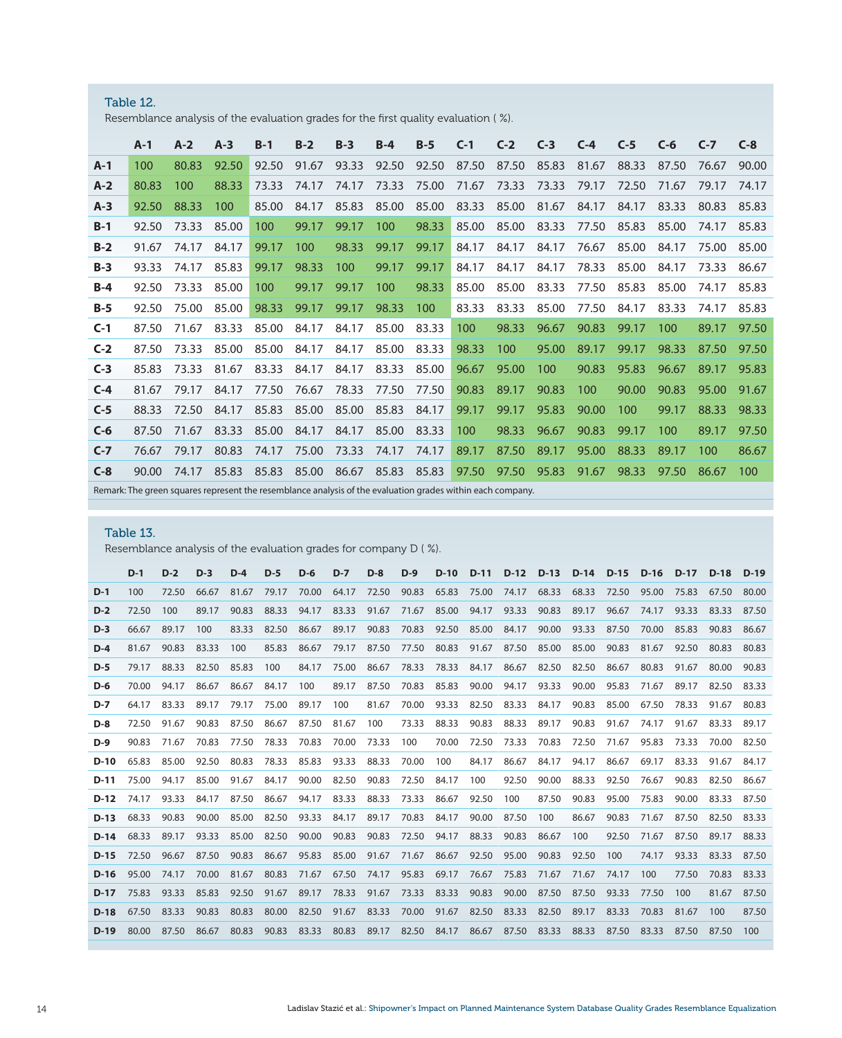| Table 12.                                                                           |
|-------------------------------------------------------------------------------------|
| Resemblance analysis of the evaluation grades for the first quality evaluation (%). |

|       | $A-1$ | $A-2$ | $A-3$ | $B-1$ | $B-2$ | $B-3$ | $B-4$ | $B-5$ | $C-1$ | $C-2$ | $C-3$ | $C-4$ | $C-5$ | $C-6$ | $C-7$ | $C-8$ |
|-------|-------|-------|-------|-------|-------|-------|-------|-------|-------|-------|-------|-------|-------|-------|-------|-------|
| $A-1$ | 100   | 80.83 | 92.50 | 92.50 | 91.67 | 93.33 | 92.50 | 92.50 | 87.50 | 87.50 | 85.83 | 81.67 | 88.33 | 87.50 | 76.67 | 90.00 |
| $A-2$ | 80.83 | 100   | 88.33 | 73.33 | 74.17 | 74.17 | 73.33 | 75.00 | 71.67 | 73.33 | 73.33 | 79.17 | 72.50 | 71.67 | 79.17 | 74.17 |
| $A-3$ | 92.50 | 88.33 | 100   | 85.00 | 84.17 | 85.83 | 85.00 | 85.00 | 83.33 | 85.00 | 81.67 | 84.17 | 84.17 | 83.33 | 80.83 | 85.83 |
| $B-1$ | 92.50 | 73.33 | 85.00 | 100   | 99.17 | 99.17 | 100   | 98.33 | 85.00 | 85.00 | 83.33 | 77.50 | 85.83 | 85.00 | 74.17 | 85.83 |
| $B-2$ | 91.67 | 74.17 | 84.17 | 99.17 | 100   | 98.33 | 99.17 | 99.17 | 84.17 | 84.17 | 84.17 | 76.67 | 85.00 | 84.17 | 75.00 | 85.00 |
| $B-3$ | 93.33 | 74.17 | 85.83 | 99.17 | 98.33 | 100   | 99.17 | 99.17 | 84.17 | 84.17 | 84.17 | 78.33 | 85.00 | 84.17 | 73.33 | 86.67 |
| $B-4$ | 92.50 | 73.33 | 85.00 | 100   | 99.17 | 99.17 | 100   | 98.33 | 85.00 | 85.00 | 83.33 | 77.50 | 85.83 | 85.00 | 74.17 | 85.83 |
| $B-5$ | 92.50 | 75.00 | 85.00 | 98.33 | 99.17 | 99.17 | 98.33 | 100   | 83.33 | 83.33 | 85.00 | 77.50 | 84.17 | 83.33 | 74.17 | 85.83 |
| $C-1$ | 87.50 | 71.67 | 83.33 | 85.00 | 84.17 | 84.17 | 85.00 | 83.33 | 100   | 98.33 | 96.67 | 90.83 | 99.17 | 100   | 89.17 | 97.50 |
| $C-2$ | 87.50 | 73.33 | 85.00 | 85.00 | 84.17 | 84.17 | 85.00 | 83.33 | 98.33 | 100   | 95.00 | 89.17 | 99.17 | 98.33 | 87.50 | 97.50 |
| $C-3$ | 85.83 | 73.33 | 81.67 | 83.33 | 84.17 | 84.17 | 83.33 | 85.00 | 96.67 | 95.00 | 100   | 90.83 | 95.83 | 96.67 | 89.17 | 95.83 |
| $C-4$ | 81.67 | 79.17 | 84.17 | 77.50 | 76.67 | 78.33 | 77.50 | 77.50 | 90.83 | 89.17 | 90.83 | 100   | 90.00 | 90.83 | 95.00 | 91.67 |
| $C-5$ | 88.33 | 72.50 | 84.17 | 85.83 | 85.00 | 85.00 | 85.83 | 84.17 | 99.17 | 99.17 | 95.83 | 90.00 | 100   | 99.17 | 88.33 | 98.33 |
| $C-6$ | 87.50 | 71.67 | 83.33 | 85.00 | 84.17 | 84.17 | 85.00 | 83.33 | 100   | 98.33 | 96.67 | 90.83 | 99.17 | 100   | 89.17 | 97.50 |
| $C-7$ | 76.67 | 79.17 | 80.83 | 74.17 | 75.00 | 73.33 | 74.17 | 74.17 | 89.17 | 87.50 | 89.17 | 95.00 | 88.33 | 89.17 | 100   | 86.67 |
| $C-8$ | 90.00 | 74.17 | 85.83 | 85.83 | 85.00 | 86.67 | 85.83 | 85.83 | 97.50 | 97.50 | 95.83 | 91.67 | 98.33 | 97.50 | 86.67 | 100   |

Remark: The green squares represent the resemblance analysis of the evaluation grades within each company.

# Table 13.

Resemblance analysis of the evaluation grades for company D ( %).

|        | $D-1$ | $D-2$ | $D-3$ | $D-4$ | $D-5$ | $D-6$ | $D-7$ | $D-8$ | $D-9$             | $D-10$ | $D-11$      | $D-12$ | $D-13$ | $D-14$ | $D-15$ | $D-16$ | $D-17$ | D-18  | $D-19$ |
|--------|-------|-------|-------|-------|-------|-------|-------|-------|-------------------|--------|-------------|--------|--------|--------|--------|--------|--------|-------|--------|
| $D-1$  | 100   | 72.50 | 66.67 | 81.67 | 79.17 | 70.00 | 64.17 | 72.50 | 90.83             | 65.83  | 75.00       | 74.17  | 68.33  | 68.33  | 72.50  | 95.00  | 75.83  | 67.50 | 80.00  |
| $D-2$  | 72.50 | 100   | 89.17 | 90.83 | 88.33 | 94.17 | 83.33 | 91.67 | 71.67             | 85.00  | 94.17       | 93.33  | 90.83  | 89.17  | 96.67  | 74.17  | 93.33  | 83.33 | 87.50  |
| $D-3$  | 66.67 | 89.17 | 100   | 83.33 | 82.50 | 86.67 | 89.17 | 90.83 | 70.83             | 92.50  | 85.00       | 84.17  | 90.00  | 93.33  | 87.50  | 70.00  | 85.83  | 90.83 | 86.67  |
| $D-4$  | 81.67 | 90.83 | 83.33 | 100   | 85.83 | 86.67 | 79.17 | 87.50 | 77.50             | 80.83  | 91.67       | 87.50  | 85.00  | 85.00  | 90.83  | 81.67  | 92.50  | 80.83 | 80.83  |
| $D-5$  | 79.17 | 88.33 | 82.50 | 85.83 | 100   | 84.17 | 75.00 | 86.67 | 78.33             | 78.33  | 84.17       | 86.67  | 82.50  | 82.50  | 86.67  | 80.83  | 91.67  | 80.00 | 90.83  |
| $D-6$  | 70.00 | 94.17 | 86.67 | 86.67 | 84.17 | 100   | 89.17 | 87.50 | 70.83             | 85.83  | 90.00       | 94.17  | 93.33  | 90.00  | 95.83  | 71.67  | 89.17  | 82.50 | 83.33  |
| $D-7$  | 64.17 | 83.33 | 89.17 | 79.17 | 75.00 | 89.17 | 100   | 81.67 | 70.00             | 93.33  | 82.50       | 83.33  | 84.17  | 90.83  | 85.00  | 67.50  | 78.33  | 91.67 | 80.83  |
| $D-8$  | 72.50 | 91.67 | 90.83 | 87.50 | 86.67 | 87.50 | 81.67 | 100   | 73.33             | 88.33  | 90.83       | 88.33  | 89.17  | 90.83  | 91.67  | 74.17  | 91.67  | 83.33 | 89.17  |
| $D-9$  | 90.83 | 71.67 | 70.83 | 77.50 | 78.33 | 70.83 | 70.00 | 73.33 | 100               | 70.00  | 72.50       | 73.33  | 70.83  | 72.50  | 71.67  | 95.83  | 73.33  | 70.00 | 82.50  |
| $D-10$ | 65.83 | 85.00 | 92.50 | 80.83 | 78.33 | 85.83 | 93.33 | 88.33 | 70.00             | 100    | 84.17       | 86.67  | 84.17  | 94.17  | 86.67  | 69.17  | 83.33  | 91.67 | 84.17  |
| D-11   | 75.00 | 94.17 | 85.00 | 91.67 | 84.17 | 90.00 | 82.50 | 90.83 | 72.50             | 84.17  | 100         | 92.50  | 90.00  | 88.33  | 92.50  | 76.67  | 90.83  | 82.50 | 86.67  |
| D-12   | 74.17 | 93.33 | 84.17 | 87.50 | 86.67 | 94.17 | 83.33 | 88.33 | 73.33             | 86.67  | 92.50       | 100    | 87.50  | 90.83  | 95.00  | 75.83  | 90.00  | 83.33 | 87.50  |
| $D-13$ | 68.33 | 90.83 | 90.00 | 85.00 | 82.50 | 93.33 | 84.17 | 89.17 | 70.83             | 84.17  | 90.00       | 87.50  | 100    | 86.67  | 90.83  | 71.67  | 87.50  | 82.50 | 83.33  |
|        | 68.33 | 89.17 | 93.33 | 85.00 | 82.50 | 90.00 | 90.83 | 90.83 | 72.50             | 94.17  | 88.33       | 90.83  | 86.67  | 100    | 92.50  | 71.67  | 87.50  | 89.17 | 88.33  |
|        | 72.50 | 96.67 | 87.50 | 90.83 | 86.67 | 95.83 | 85.00 | 91.67 | 71.67             | 86.67  | 92.50       | 95.00  | 90.83  | 92.50  | 100    | 74.17  | 93.33  | 83.33 | 87.50  |
| $D-16$ | 95.00 | 74.17 | 70.00 | 81.67 | 80.83 | 71.67 | 67.50 | 74.17 | 95.83             | 69.17  | 76.67       | 75.83  | 71.67  | 71.67  | 74.17  | 100    | 77.50  | 70.83 | 83.33  |
| $D-17$ | 75.83 | 93.33 | 85.83 | 92.50 | 91.67 | 89.17 | 78.33 | 91.67 | 73.33             | 83.33  | 90.83       | 90.00  | 87.50  | 87.50  | 93.33  | 77.50  | 100    | 81.67 | 87.50  |
| $D-18$ | 67.50 | 83.33 | 90.83 | 80.83 | 80.00 | 82.50 | 91.67 | 83.33 | 70.00             | 91.67  | 82.50       | 83.33  | 82.50  | 89.17  | 83.33  | 70.83  | 81.67  | 100   | 87.50  |
| $D-19$ | 80.00 | 87.50 | 86.67 | 80.83 | 90.83 | 83.33 | 80.83 |       | 89.17 82.50 84.17 |        | 86.67 87.50 |        | 83.33  | 88.33  | 87.50  | 83.33  | 87.50  | 87.50 | 100    |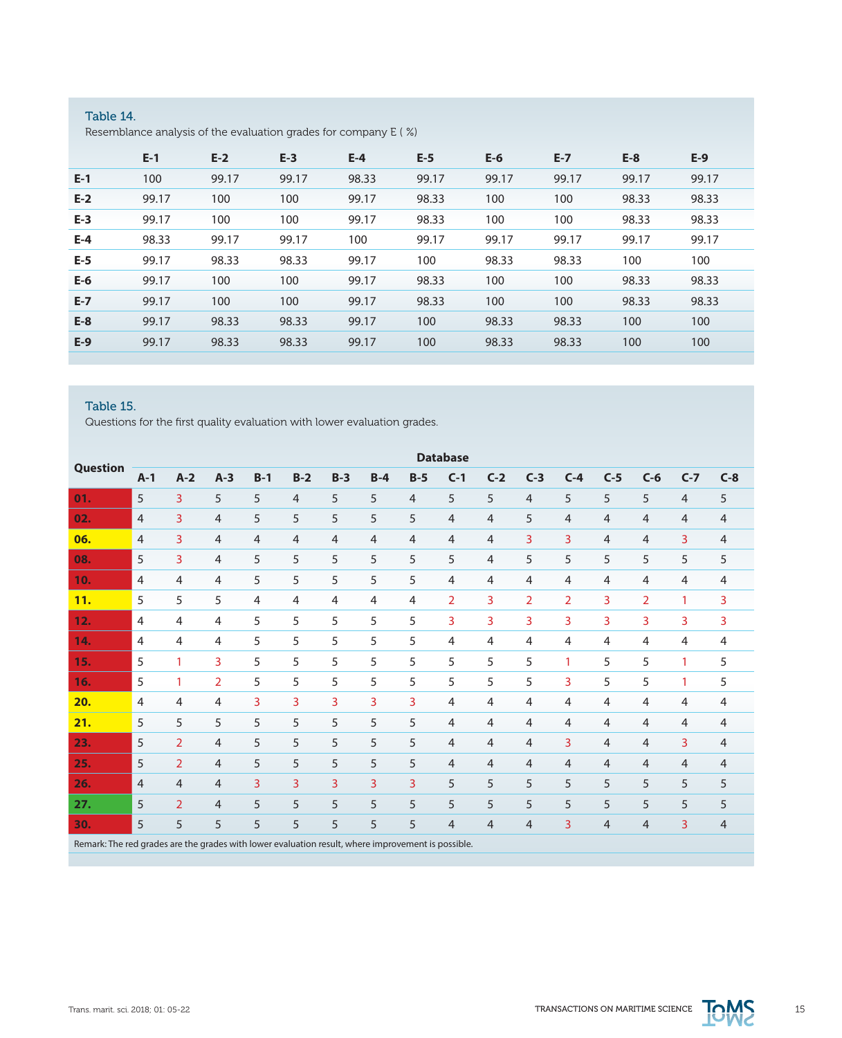# Table 14. Resemblance analysis of the evaluation grades for company E ( %)

|       | $E-1$ | $E-2$ | $E-3$ | $E-4$ | $E-5$ | $E-6$ | $E-7$ | $E-8$ | $E-9$ |
|-------|-------|-------|-------|-------|-------|-------|-------|-------|-------|
| $E-1$ | 100   | 99.17 | 99.17 | 98.33 | 99.17 | 99.17 | 99.17 | 99.17 | 99.17 |
| $E-2$ | 99.17 | 100   | 100   | 99.17 | 98.33 | 100   | 100   | 98.33 | 98.33 |
| $E-3$ | 99.17 | 100   | 100   | 99.17 | 98.33 | 100   | 100   | 98.33 | 98.33 |
| $E-4$ | 98.33 | 99.17 | 99.17 | 100   | 99.17 | 99.17 | 99.17 | 99.17 | 99.17 |
| $E-5$ | 99.17 | 98.33 | 98.33 | 99.17 | 100   | 98.33 | 98.33 | 100   | 100   |
| $E-6$ | 99.17 | 100   | 100   | 99.17 | 98.33 | 100   | 100   | 98.33 | 98.33 |
| $E-7$ | 99.17 | 100   | 100   | 99.17 | 98.33 | 100   | 100   | 98.33 | 98.33 |
| $E-8$ | 99.17 | 98.33 | 98.33 | 99.17 | 100   | 98.33 | 98.33 | 100   | 100   |
| $E-9$ | 99.17 | 98.33 | 98.33 | 99.17 | 100   | 98.33 | 98.33 | 100   | 100   |
|       |       |       |       |       |       |       |       |       |       |

# Table 15.

Questions for the first quality evaluation with lower evaluation grades.

|                                                                                                    | <b>Database</b> |                |                |                |                |                |                |                |                |                |                |                |                |                |                |                |
|----------------------------------------------------------------------------------------------------|-----------------|----------------|----------------|----------------|----------------|----------------|----------------|----------------|----------------|----------------|----------------|----------------|----------------|----------------|----------------|----------------|
| Question                                                                                           | $A-1$           | $A-2$          | $A-3$          | $B-1$          | $B-2$          | $B-3$          | $B-4$          | $B-5$          | $C-1$          | $C-2$          | $C-3$          | $C-4$          | $C-5$          | $C-6$          | $C-7$          | $C-8$          |
| 01.                                                                                                | 5               | 3              | 5              | 5              | $\overline{4}$ | 5              | 5              | $\overline{4}$ | 5              | 5              | $\overline{4}$ | 5              | 5              | 5              | $\overline{4}$ | 5              |
| 02.                                                                                                | $\overline{4}$  | 3              | 4              | 5              | 5              | 5              | 5              | 5              | $\overline{4}$ | 4              | 5              | $\overline{4}$ | $\overline{4}$ | $\overline{4}$ | $\overline{4}$ | 4              |
| 06.                                                                                                | $\overline{4}$  | 3              | $\overline{4}$ | $\overline{4}$ | $\overline{4}$ | $\overline{4}$ | $\overline{4}$ | $\overline{4}$ | $\overline{4}$ | 4              | 3              | 3              | $\overline{4}$ | $\overline{4}$ | 3              | 4              |
| 08.                                                                                                | 5               | 3              | $\overline{4}$ | 5              | 5              | 5              | 5              | 5              | 5              | $\overline{4}$ | 5              | 5              | 5              | 5              | 5              | 5              |
| 10.                                                                                                | $\overline{4}$  | $\overline{4}$ | $\overline{4}$ | 5              | 5              | 5              | 5              | 5              | $\overline{4}$ | $\overline{4}$ | $\overline{4}$ | $\overline{4}$ | $\overline{4}$ | $\overline{4}$ | $\overline{4}$ | 4              |
| 11.                                                                                                | 5               | 5              | 5              | $\overline{4}$ | $\overline{4}$ | $\overline{4}$ | $\overline{4}$ | 4              | $\overline{2}$ | 3              | $\overline{2}$ | $\overline{2}$ | $\overline{3}$ | $\overline{2}$ | 1              | 3              |
| 12.                                                                                                | $\overline{4}$  | 4              | 4              | 5              | 5              | 5              | 5              | 5              | 3              | 3              | 3              | 3              | $\overline{3}$ | $\overline{3}$ | 3              | 3              |
| 14.                                                                                                | $\overline{4}$  | 4              | 4              | 5              | 5              | 5              | 5              | 5              | $\overline{4}$ | 4              | 4              | $\overline{4}$ | $\overline{4}$ | $\overline{4}$ | $\overline{4}$ | 4              |
| 15.                                                                                                | 5               | $\mathbf{1}$   | 3              | 5              | 5              | 5              | 5              | 5              | 5              | 5              | 5              | $\mathbf{1}$   | 5              | 5              | 1              | 5              |
| 16.                                                                                                | 5               | 1              | $\overline{2}$ | 5              | 5              | 5              | 5              | 5              | 5              | 5              | 5              | 3              | 5              | 5              | 1              | 5              |
| 20.                                                                                                | $\overline{4}$  | $\overline{4}$ | 4              | 3              | 3              | 3              | 3              | 3              | $\overline{4}$ | 4              | 4              | $\overline{4}$ | $\overline{4}$ | $\overline{4}$ | $\overline{4}$ | 4              |
| 21.                                                                                                | 5               | 5              | 5              | 5              | 5              | 5              | 5              | 5              | $\overline{4}$ | 4              | 4              | 4              | $\overline{4}$ | $\overline{4}$ | $\overline{4}$ | $\overline{4}$ |
| 23.                                                                                                | 5               | $\overline{2}$ | $\overline{4}$ | 5              | 5              | 5              | 5              | 5              | $\overline{4}$ | $\overline{4}$ | $\overline{4}$ | 3              | $\overline{4}$ | $\overline{4}$ | 3              | $\overline{4}$ |
| 25.                                                                                                | 5               | $\overline{2}$ | 4              | 5              | 5              | 5              | 5              | 5              | 4              | 4              | 4              | 4              | $\overline{4}$ | $\overline{4}$ | $\overline{4}$ | $\overline{4}$ |
| 26.                                                                                                | $\overline{4}$  | $\overline{4}$ | $\overline{4}$ | 3              | 3              | $\overline{3}$ | $\overline{3}$ | 3              | 5              | 5              | 5              | 5              | 5              | 5              | 5              | 5              |
| 27.                                                                                                | 5               | $\overline{2}$ | $\overline{4}$ | 5              | 5              | 5              | 5              | 5              | 5              | 5              | 5              | 5              | 5              | 5              | 5              | 5              |
| 30.                                                                                                | 5               | 5              | 5              | 5              | 5              | 5              | 5              | 5              | $\overline{4}$ | $\overline{4}$ | $\overline{4}$ | $\overline{3}$ | $\overline{4}$ | $\overline{4}$ | 3              | $\overline{4}$ |
| Remark: The red grades are the grades with lower evaluation result, where improvement is possible. |                 |                |                |                |                |                |                |                |                |                |                |                |                |                |                |                |

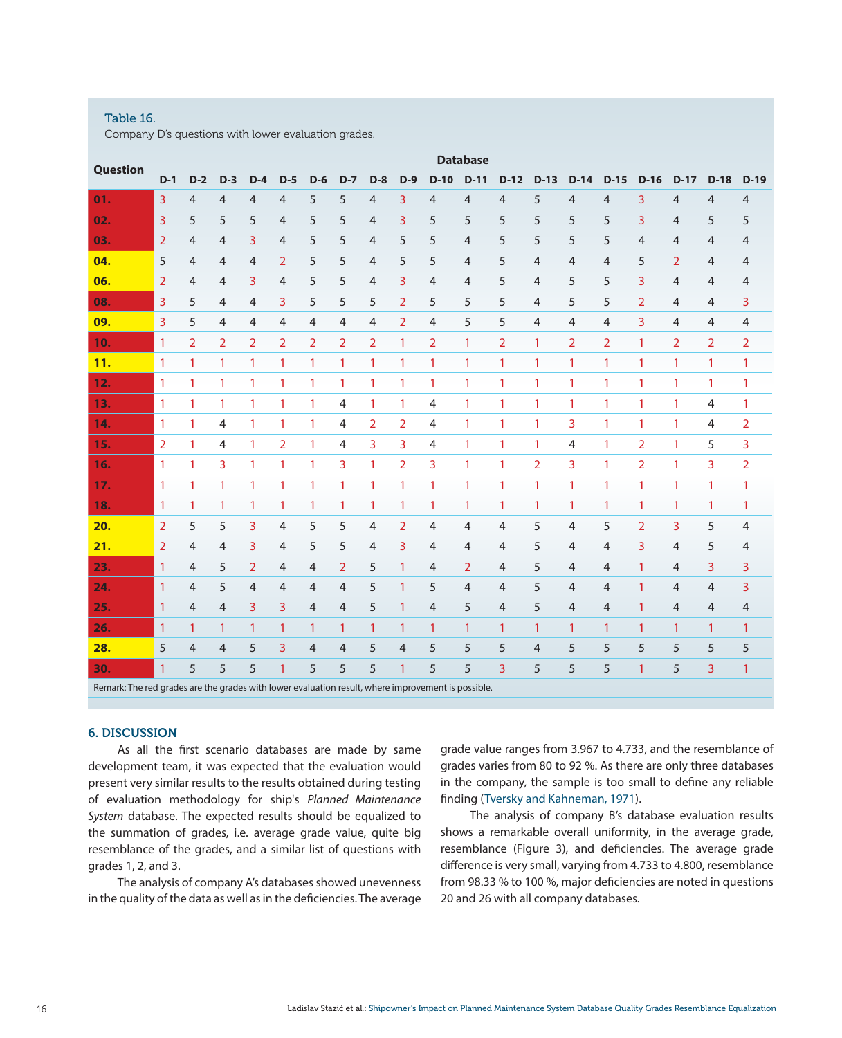## Table 16.

Company D's questions with lower evaluation grades.

|                                                                                                    |                |                |                |                |                |                |                |                |                |                | <b>Database</b> |                |                |                |                |                |                |                |                |
|----------------------------------------------------------------------------------------------------|----------------|----------------|----------------|----------------|----------------|----------------|----------------|----------------|----------------|----------------|-----------------|----------------|----------------|----------------|----------------|----------------|----------------|----------------|----------------|
| <b>Question</b>                                                                                    | $D-1$          | $D-2$          | $D-3$          | $D-4$          | $D-5$          | $D-6$          | $D-7$          | $D-8$          | $D-9$          | $D-10$         | $D-11$          | $D-12$         | $D-13$         | $D-14$         | $D-15$         | $D-16$         | $D-17$         | $D-18$         | $D-19$         |
| 01.                                                                                                | 3              | $\overline{4}$ | $\overline{4}$ | 4              | $\overline{4}$ | 5              | 5              | 4              | 3              | $\overline{4}$ | $\overline{4}$  | $\overline{4}$ | 5              | 4              | $\overline{4}$ | 3              | 4              | $\overline{4}$ | 4              |
| 02.                                                                                                | $\overline{3}$ | 5              | 5              | 5              | $\overline{4}$ | 5              | 5              | $\overline{4}$ | 3              | 5              | 5               | 5              | 5              | 5              | 5              | 3              | $\overline{4}$ | 5              | 5              |
| 03.                                                                                                | $\overline{2}$ | $\overline{4}$ | $\overline{4}$ | 3              | $\overline{4}$ | 5              | 5              | $\overline{4}$ | 5              | 5              | $\overline{4}$  | 5              | 5              | 5              | 5              | $\overline{4}$ | 4              | $\overline{4}$ | 4              |
| 04.                                                                                                | 5              | $\overline{4}$ | $\overline{4}$ | $\overline{4}$ | $\overline{2}$ | 5              | 5              | $\overline{4}$ | 5              | 5              | $\overline{4}$  | 5              | $\overline{4}$ | $\overline{4}$ | $\overline{4}$ | 5              | $\overline{2}$ | 4              | 4              |
| 06.                                                                                                | $\overline{2}$ | $\overline{4}$ | 4              | 3              | $\overline{4}$ | 5              | 5              | $\overline{4}$ | 3              | $\overline{4}$ | $\overline{4}$  | 5              | $\overline{4}$ | 5              | 5              | 3              | $\overline{4}$ | $\overline{4}$ | 4              |
| 08.                                                                                                | 3              | 5              | 4              | $\overline{4}$ | 3              | 5              | 5              | 5              | $\overline{2}$ | 5              | 5               | 5              | $\overline{4}$ | 5              | 5              | $\overline{2}$ | $\overline{4}$ | $\overline{4}$ | 3              |
| 09.                                                                                                | 3              | 5              | $\overline{4}$ | 4              | 4              | 4              | 4              | 4              | $\overline{2}$ | $\overline{4}$ | 5               | 5              | 4              | $\overline{4}$ | $\overline{4}$ | 3              | 4              | 4              | $\overline{4}$ |
| 10.                                                                                                | $\mathbf{1}$   | $\overline{2}$ | $\overline{2}$ | $\overline{2}$ | $\overline{2}$ | $\overline{2}$ | $\overline{2}$ | $\overline{2}$ | 1              | $\overline{2}$ | $\mathbf{1}$    | $\overline{2}$ | $\mathbf{1}$   | $\overline{2}$ | $\overline{2}$ | 1              | $\overline{2}$ | $\overline{2}$ | $\overline{2}$ |
| 11.                                                                                                | $\mathbf{1}$   | $\mathbf{1}$   | $\mathbf{1}$   | 1              | $\mathbf{1}$   | $\mathbf{1}$   | $\mathbf{1}$   | $\mathbf{1}$   | $\mathbf{1}$   | $\mathbf{1}$   | $\mathbf{1}$    | $\mathbf{1}$   | $\mathbf{1}$   | $\mathbf{1}$   | $\mathbf{1}$   | 1              | $\mathbf{1}$   | $\mathbf{1}$   | $\mathbf{1}$   |
| 12.                                                                                                | $\mathbf{1}$   | $\mathbf{1}$   | $\mathbf{1}$   | 1              | 1              | 1              | 1              | $\mathbf{1}$   | $\mathbf{1}$   | $\mathbf{1}$   | $\mathbf{1}$    | $\mathbf{1}$   | $\mathbf{1}$   | $\mathbf{1}$   | 1              | 1              | $\mathbf{1}$   | $\mathbf{1}$   | $\mathbf{1}$   |
| 13.                                                                                                | $\mathbf{1}$   | $\mathbf{1}$   | $\mathbf{1}$   | 1              | 1              | 1              | 4              | $\mathbf{1}$   | 1              | $\overline{4}$ | $\mathbf{1}$    | $\mathbf{1}$   | $\mathbf{1}$   | $\mathbf{1}$   | 1              | 1              | $\mathbf{1}$   | 4              | 1              |
| 14.                                                                                                | $\mathbf{1}$   | 1              | 4              | 1              | 1              | 1              | 4              | 2              | 2              | 4              | $\mathbf{1}$    | $\mathbf{1}$   | $\mathbf{1}$   | 3              | 1              | 1              | 1              | 4              | 2              |
| 15.                                                                                                | 2              | $\mathbf{1}$   | 4              | 1              | $\overline{2}$ | 1              | 4              | 3              | 3              | $\overline{4}$ | $\mathbf{1}$    | $\mathbf{1}$   | $\mathbf{1}$   | $\overline{4}$ | 1              | 2              | $\mathbf{1}$   | 5              | 3              |
| 16.                                                                                                | $\mathbf{1}$   | 1              | 3              | 1              | 1              | 1              | 3              | $\mathbf{1}$   | $\overline{2}$ | 3              | $\mathbf{1}$    | $\mathbf{1}$   | $\overline{2}$ | 3              | 1              | $\overline{2}$ | 1              | 3              | 2              |
| 17.                                                                                                | $\mathbf{1}$   | $\mathbf{1}$   | $\mathbf{1}$   | 1              | $\mathbf{1}$   | 1              | 1              | $\mathbf{1}$   | 1              | $\mathbf{1}$   | $\mathbf{1}$    | $\mathbf{1}$   | $\mathbf{1}$   | $\mathbf{1}$   | $\mathbf{1}$   | 1              | 1              | $\mathbf{1}$   | $\mathbf{1}$   |
| 18.                                                                                                | $\mathbf{1}$   | $\mathbf{1}$   | $\mathbf{1}$   | $\mathbf{1}$   | 1              | $\mathbf{1}$   | $\mathbf{1}$   | $\mathbf{1}$   | $\mathbf{1}$   | $\mathbf{1}$   | $\mathbf{1}$    | $\mathbf{1}$   | $\mathbf{1}$   | $\mathbf{1}$   | $\mathbf{1}$   | 1              | $\mathbf{1}$   | $\mathbf{1}$   | $\mathbf{1}$   |
| 20.                                                                                                | $\overline{2}$ | 5              | 5              | 3              | 4              | 5              | 5              | 4              | $\overline{2}$ | 4              | $\overline{4}$  | 4              | 5              | $\overline{4}$ | 5              | $\overline{2}$ | 3              | 5              | $\overline{4}$ |
| 21.                                                                                                | $\overline{2}$ | $\overline{4}$ | $\overline{4}$ | 3              | $\overline{4}$ | 5              | 5              | $\overline{4}$ | 3              | $\overline{4}$ | $\overline{4}$  | 4              | 5              | $\overline{4}$ | $\overline{4}$ | 3              | 4              | 5              | 4              |
| 23.                                                                                                | $\mathbf{1}$   | $\overline{4}$ | 5              | 2              | 4              | $\overline{4}$ | 2              | 5              | $\mathbf{1}$   | $\overline{4}$ | $\overline{2}$  | 4              | 5              | $\overline{4}$ | $\overline{4}$ | 1              | $\overline{4}$ | 3              | 3              |
| 24.                                                                                                | $\mathbf{1}$   | $\overline{4}$ | 5              | $\overline{4}$ | $\overline{4}$ | $\overline{4}$ | $\overline{4}$ | 5              | $\mathbf{1}$   | 5              | $\overline{4}$  | $\overline{4}$ | 5              | $\overline{4}$ | $\overline{4}$ | 1              | 4              | $\overline{4}$ | 3              |
| 25.                                                                                                | $\mathbf{1}$   | $\overline{4}$ | $\overline{4}$ | 3              | 3              | $\overline{4}$ | $\overline{4}$ | 5              | $\mathbf{1}$   | 4              | 5               | 4              | 5              | $\overline{4}$ | 4              | $\mathbf{1}$   | 4              | 4              | $\overline{4}$ |
| 26.                                                                                                | $\mathbf{1}$   | $\mathbf{1}$   | 1              | 1              | $\mathbf{1}$   | 1              | 1              | $\mathbf{1}$   | 1              | $\mathbf{1}$   | $\mathbf{1}$    | $\mathbf{1}$   | $\mathbf{1}$   | $\mathbf{1}$   | 1              | 1              | $\mathbf{1}$   | 1              | $\mathbf{1}$   |
| 28.                                                                                                | 5              | $\overline{4}$ | 4              | 5              | 3              | 4              | $\overline{4}$ | 5              | $\overline{4}$ | 5              | 5               | 5              | $\overline{4}$ | 5              | 5              | 5              | 5              | 5              | 5              |
| 30.                                                                                                | 1              | 5              | 5              | 5              | 1              | 5              | 5              | 5              | 1              | 5              | 5               | $\overline{3}$ | 5              | 5              | 5              | $\mathbf{1}$   | 5              | 3              | $\mathbf{1}$   |
| Remark: The red grades are the grades with lower evaluation result, where improvement is possible. |                |                |                |                |                |                |                |                |                |                |                 |                |                |                |                |                |                |                |                |

## 6. DISCUSSION

As all the first scenario databases are made by same development team, it was expected that the evaluation would present very similar results to the results obtained during testing of evaluation methodology for ship's *Planned Maintenance System* database. The expected results should be equalized to the summation of grades, i.e. average grade value, quite big resemblance of the grades, and a similar list of questions with grades 1, 2, and 3.

The analysis of company A's databases showed unevenness in the quality of the data as well as in the deficiencies. The average grade value ranges from 3.967 to 4.733, and the resemblance of grades varies from 80 to 92 %. As there are only three databases in the company, the sample is too small to define any reliable finding ([Tversky and Kahneman, 1971\)](https://docs.imo.org).

The analysis of company B's database evaluation results shows a remarkable overall uniformity, in the average grade, resemblance (Figure 3), and deficiencies. The average grade difference is very small, varying from 4.733 to 4.800, resemblance from 98.33 % to 100 %, major deficiencies are noted in questions 20 and 26 with all company databases.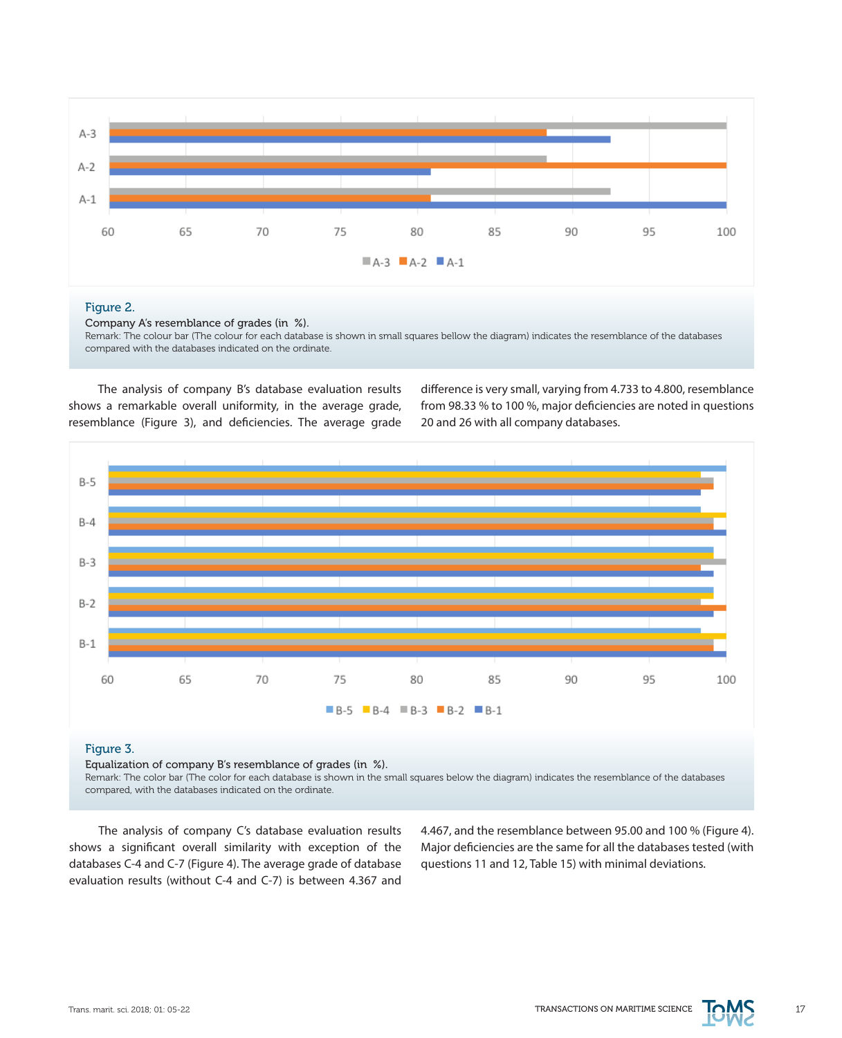

#### Figure 2.

Company A's resemblance of grades (in %).

Remark: The colour bar (The colour for each database is shown in small squares bellow the diagram) indicates the resemblance of the databases compared with the databases indicated on the ordinate.

The analysis of company B's database evaluation results shows a remarkable overall uniformity, in the average grade, resemblance (Figure 3), and deficiencies. The average grade difference is very small, varying from 4.733 to 4.800, resemblance from 98.33 % to 100 %, major deficiencies are noted in questions 20 and 26 with all company databases.



# Figure 3.

Equalization of company B's resemblance of grades (in %).

Remark: The color bar (The color for each database is shown in the small squares below the diagram) indicates the resemblance of the databases compared, with the databases indicated on the ordinate.

The analysis of company C's database evaluation results shows a significant overall similarity with exception of the databases C-4 and C-7 (Figure 4). The average grade of database evaluation results (without C-4 and C-7) is between 4.367 and

4.467, and the resemblance between 95.00 and 100 % (Figure 4). Major deficiencies are the same for all the databases tested (with questions 11 and 12, Table 15) with minimal deviations.

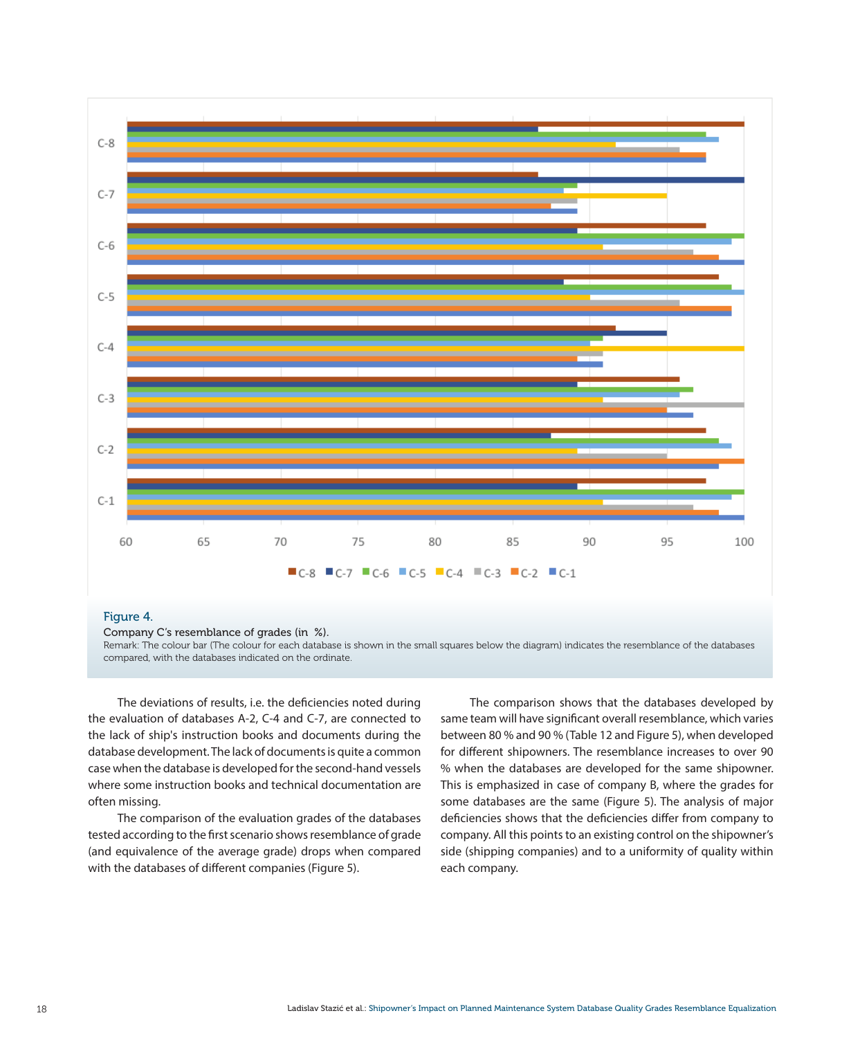

# Figure 4.

Company C's resemblance of grades (in %).

Remark: The colour bar (The colour for each database is shown in the small squares below the diagram) indicates the resemblance of the databases compared, with the databases indicated on the ordinate.

The deviations of results, i.e. the deficiencies noted during the evaluation of databases A-2, C-4 and C-7, are connected to the lack of ship's instruction books and documents during the database development. The lack of documents is quite a common case when the database is developed for the second-hand vessels where some instruction books and technical documentation are often missing.

The comparison of the evaluation grades of the databases tested according to the first scenario shows resemblance of grade (and equivalence of the average grade) drops when compared with the databases of different companies (Figure 5).

The comparison shows that the databases developed by same team will have significant overall resemblance, which varies between 80 % and 90 % (Table 12 and Figure 5), when developed for different shipowners. The resemblance increases to over 90 % when the databases are developed for the same shipowner. This is emphasized in case of company B, where the grades for some databases are the same (Figure 5). The analysis of major deficiencies shows that the deficiencies differ from company to company. All this points to an existing control on the shipowner's side (shipping companies) and to a uniformity of quality within each company.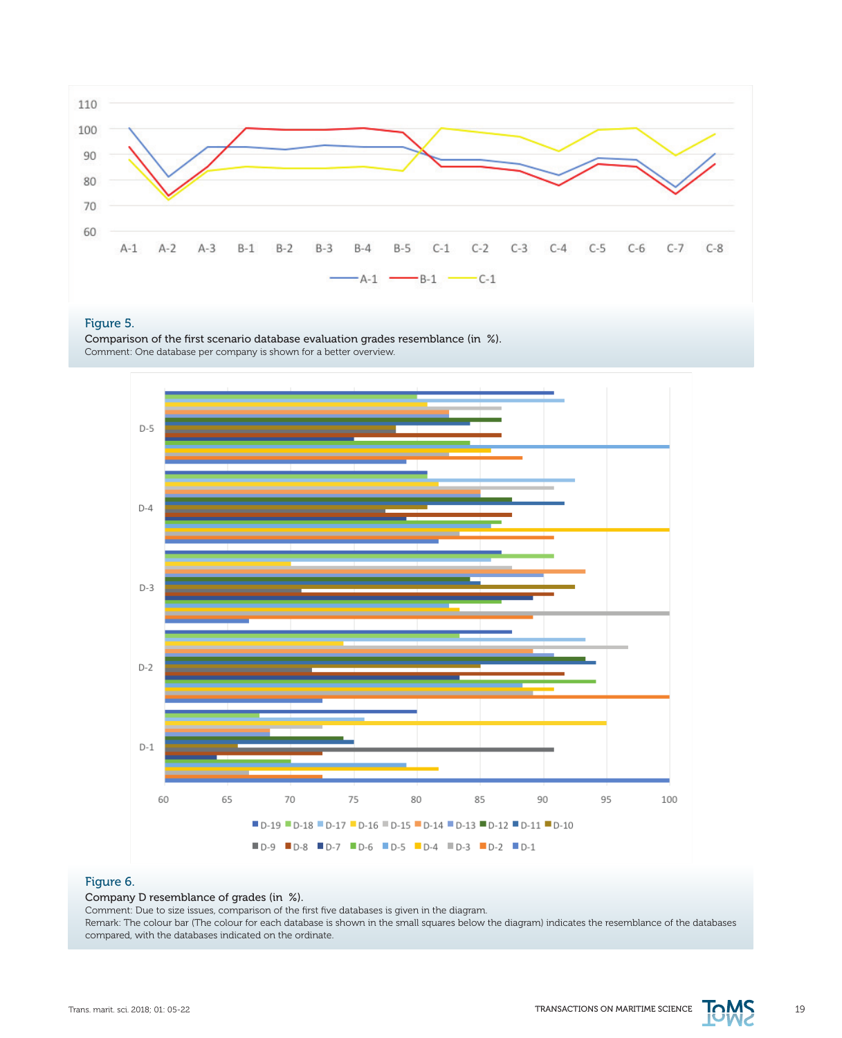

## Figure 5.

Comparison of the first scenario database evaluation grades resemblance (in %). Comment: One database per company is shown for a better overview.



# Figure 6.

Company D resemblance of grades (in %).

Comment: Due to size issues, comparison of the first five databases is given in the diagram.

Remark: The colour bar (The colour for each database is shown in the small squares below the diagram) indicates the resemblance of the databases compared, with the databases indicated on the ordinate.

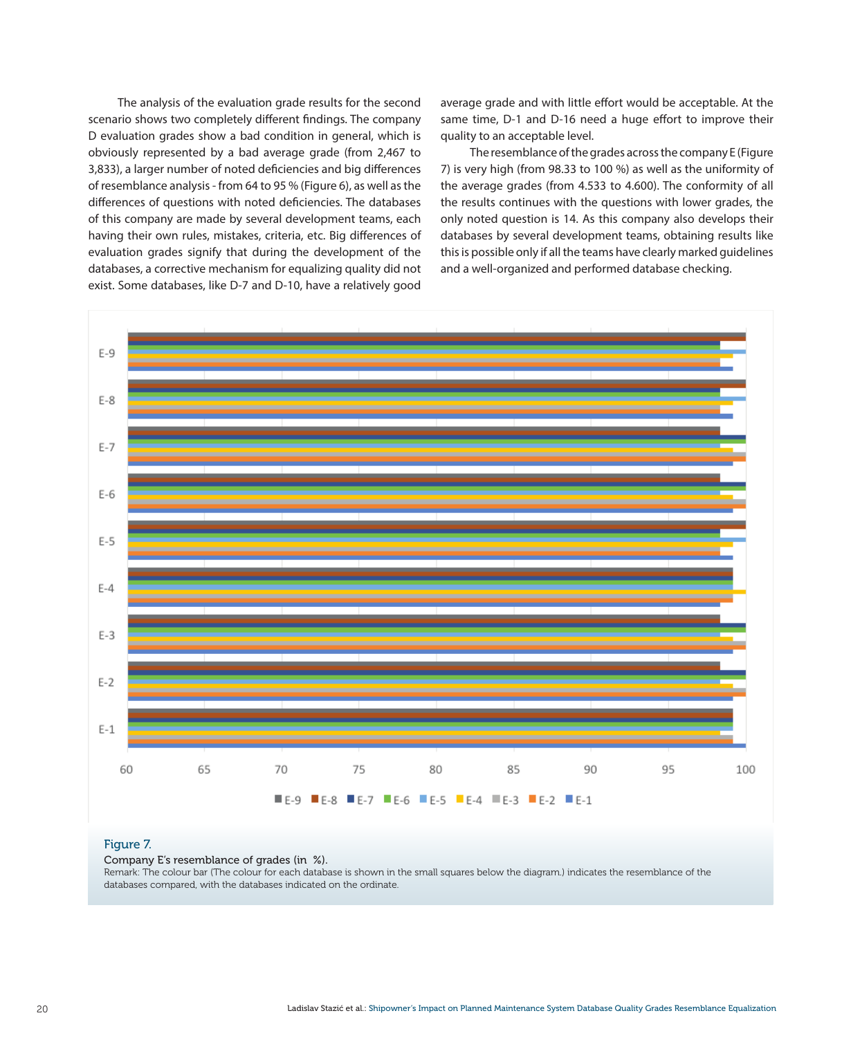The analysis of the evaluation grade results for the second scenario shows two completely different findings. The company D evaluation grades show a bad condition in general, which is obviously represented by a bad average grade (from 2,467 to 3,833), a larger number of noted deficiencies and big differences of resemblance analysis - from 64 to 95 % (Figure 6), as well as the differences of questions with noted deficiencies. The databases of this company are made by several development teams, each having their own rules, mistakes, criteria, etc. Big differences of evaluation grades signify that during the development of the databases, a corrective mechanism for equalizing quality did not exist. Some databases, like D-7 and D-10, have a relatively good average grade and with little effort would be acceptable. At the same time, D-1 and D-16 need a huge effort to improve their quality to an acceptable level.

The resemblance of the grades across the company E (Figure 7) is very high (from 98.33 to 100 %) as well as the uniformity of the average grades (from 4.533 to 4.600). The conformity of all the results continues with the questions with lower grades, the only noted question is 14. As this company also develops their databases by several development teams, obtaining results like this is possible only if all the teams have clearly marked guidelines and a well-organized and performed database checking.



## Figure 7.

Company E's resemblance of grades (in %).

Remark: The colour bar (The colour for each database is shown in the small squares below the diagram.) indicates the resemblance of the databases compared, with the databases indicated on the ordinate.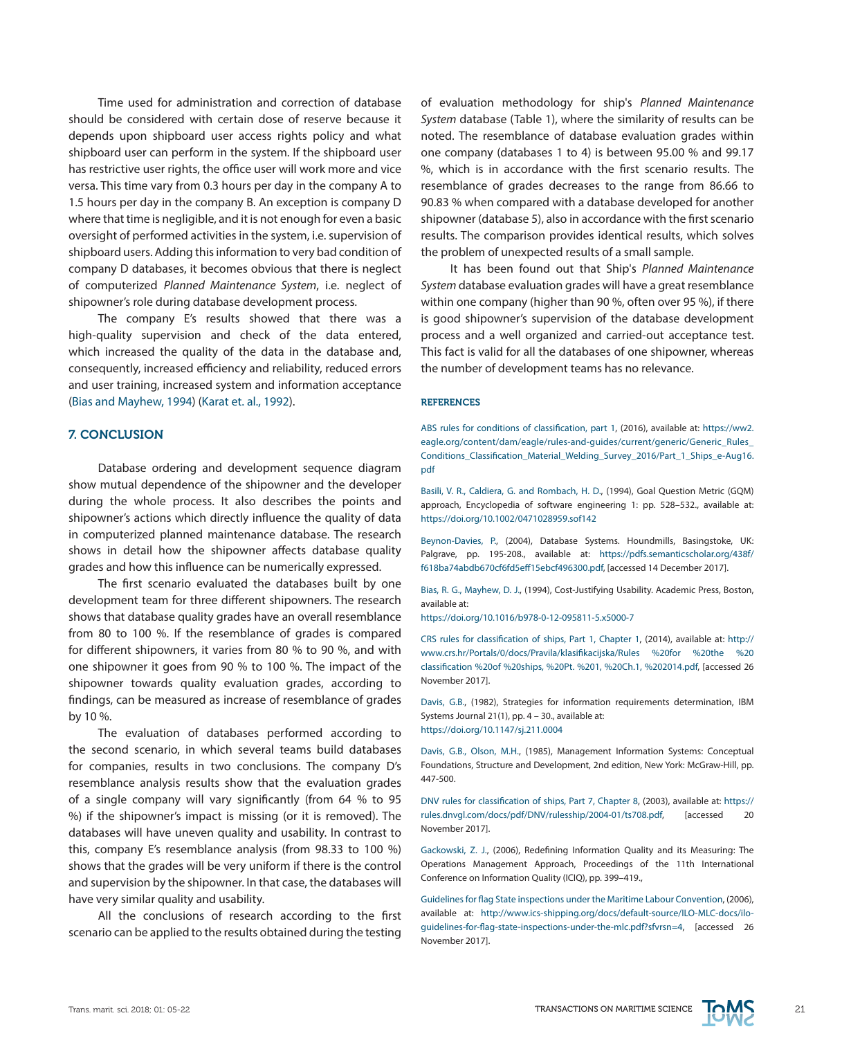Time used for administration and correction of database should be considered with certain dose of reserve because it depends upon shipboard user access rights policy and what shipboard user can perform in the system. If the shipboard user has restrictive user rights, the office user will work more and vice versa. This time vary from 0.3 hours per day in the company A to 1.5 hours per day in the company B. An exception is company D where that time is negligible, and it is not enough for even a basic oversight of performed activities in the system, i.e. supervision of shipboard users. Adding this information to very bad condition of company D databases, it becomes obvious that there is neglect of computerized *Planned Maintenance System*, i.e. neglect of shipowner's role during database development process.

The company E's results showed that there was a high-quality supervision and check of the data entered, which increased the quality of the data in the database and, consequently, increased efficiency and reliability, reduced errors and user training, increased system and information acceptance [\(Bias and Mayhew, 1994](https://gisis.imo.org)) (Karat et. al., 1992).

## 7. CONCLUSION

Database ordering and development sequence diagram show mutual dependence of the shipowner and the developer during the whole process. It also describes the points and shipowner's actions which directly influence the quality of data in computerized planned maintenance database. The research shows in detail how the shipowner affects database quality grades and how this influence can be numerically expressed.

The first scenario evaluated the databases built by one development team for three different shipowners. The research shows that database quality grades have an overall resemblance from 80 to 100 %. If the resemblance of grades is compared for different shipowners, it varies from 80 % to 90 %, and with one shipowner it goes from 90 % to 100 %. The impact of the shipowner towards quality evaluation grades, according to findings, can be measured as increase of resemblance of grades by 10 %.

The evaluation of databases performed according to the second scenario, in which several teams build databases for companies, results in two conclusions. The company D's resemblance analysis results show that the evaluation grades of a single company will vary significantly (from 64 % to 95 %) if the shipowner's impact is missing (or it is removed). The databases will have uneven quality and usability. In contrast to this, company E's resemblance analysis (from 98.33 to 100 %) shows that the grades will be very uniform if there is the control and supervision by the shipowner. In that case, the databases will have very similar quality and usability.

All the conclusions of research according to the first scenario can be applied to the results obtained during the testing of evaluation methodology for ship's *Planned Maintenance System* database (Table 1), where the similarity of results can be noted. The resemblance of database evaluation grades within one company (databases 1 to 4) is between 95.00 % and 99.17 %, which is in accordance with the first scenario results. The resemblance of grades decreases to the range from 86.66 to 90.83 % when compared with a database developed for another shipowner (database 5), also in accordance with the first scenario results. The comparison provides identical results, which solves the problem of unexpected results of a small sample.

It has been found out that Ship's *Planned Maintenance System* database evaluation grades will have a great resemblance within one company (higher than 90 %, often over 95 %), if there is good shipowner's supervision of the database development process and a well organized and carried-out acceptance test. This fact is valid for all the databases of one shipowner, whereas the number of development teams has no relevance.

#### **REFERENCES**

ABS rules for conditions of classification, part 1, (2016), available at: [https://ww2.](https://ww2.eagle.org/content/dam/eagle/rules-and-guides/current/generic/Generic_Rules_Conditions_Classification_Material_Welding_Survey_2016/Part_1_Ships_e-Aug16.pdf) [eagle.org/content/dam/eagle/rules-and-guides/current/generic/Generic\\_Rules\\_](https://ww2.eagle.org/content/dam/eagle/rules-and-guides/current/generic/Generic_Rules_Conditions_Classification_Material_Welding_Survey_2016/Part_1_Ships_e-Aug16.pdf) [Conditions\\_Classification\\_Material\\_Welding\\_Survey\\_2016/Part\\_1\\_Ships\\_e-Aug16.](https://ww2.eagle.org/content/dam/eagle/rules-and-guides/current/generic/Generic_Rules_Conditions_Classification_Material_Welding_Survey_2016/Part_1_Ships_e-Aug16.pdf) [pdf](https://ww2.eagle.org/content/dam/eagle/rules-and-guides/current/generic/Generic_Rules_Conditions_Classification_Material_Welding_Survey_2016/Part_1_Ships_e-Aug16.pdf)

Basili, V. R., Caldiera, G. and Rombach, H. D., (1994), Goal Question Metric (GQM) approach, Encyclopedia of software engineering 1: pp. 528–532., available at: <https://doi.org/10.1002/0471028959.sof142>

Beynon-Davies, P., (2004), Database Systems. Houndmills, Basingstoke, UK: Palgrave, pp. 195-208., available at: [https://pdfs.semanticscholar.org/438f/](https://pdfs.semanticscholar.org/438f/f618ba74abdb670cf6fd5eff15ebcf496300.pdf) [f618ba74abdb670cf6fd5eff15ebcf496300.pdf,](https://pdfs.semanticscholar.org/438f/f618ba74abdb670cf6fd5eff15ebcf496300.pdf) [accessed 14 December 2017].

Bias, R. G., Mayhew, D. J., (1994), Cost-Justifying Usability. Academic Press, Boston, available at:

<https://doi.org/10.1016/b978-0-12-095811-5.x5000-7>

CRS rules for classification of ships, Part 1, Chapter 1, (2014), available at: [http://](http://www.crs.hr/Portals/0/docs/Pravila/klasifikacijska/Rules%20%2520for%20%2520the%20%2520classification%20%2520of%20%2520ships%2C%20%2520Pt.%20%25201%2C%20%2520Ch.1%2C%20%25202014.pdf) [www.crs.hr/Portals/0/docs/Pravila/klasifikacijska/Rules %20for %20the %20](http://www.crs.hr/Portals/0/docs/Pravila/klasifikacijska/Rules%20%2520for%20%2520the%20%2520classification%20%2520of%20%2520ships%2C%20%2520Pt.%20%25201%2C%20%2520Ch.1%2C%20%25202014.pdf) [classification %20of %20ships, %20Pt. %201, %20Ch.1, %202014.pdf](http://www.crs.hr/Portals/0/docs/Pravila/klasifikacijska/Rules%20%2520for%20%2520the%20%2520classification%20%2520of%20%2520ships%2C%20%2520Pt.%20%25201%2C%20%2520Ch.1%2C%20%25202014.pdf), [accessed 26 November 2017].

Davis, G.B., (1982), Strategies for information requirements determination, IBM Systems Journal 21(1), pp. 4 – 30., available at: <https://doi.org/10.1147/sj.211.0004>

Davis, G.B., Olson, M.H., (1985), Management Information Systems: Conceptual Foundations, Structure and Development, 2nd edition, New York: McGraw-Hill, pp. 447-500.

DNV rules for classification of ships, Part 7, Chapter 8, (2003), available at: [https://](https://rules.dnvgl.com/docs/pdf/DNV/rulesship/2004-01/ts708.pdf) [rules.dnvgl.com/docs/pdf/DNV/rulesship/2004-01/ts708.pdf](https://rules.dnvgl.com/docs/pdf/DNV/rulesship/2004-01/ts708.pdf), [accessed 20 November 2017].

Gackowski, Z. J., (2006), Redefining Information Quality and its Measuring: The Operations Management Approach, Proceedings of the 11th International Conference on Information Quality (ICIQ), pp. 399–419.,

Guidelines for flag State inspections under the Maritime Labour Convention, (2006), available at: [http://www.ics-shipping.org/docs/default-source/ILO-MLC-docs/ilo](http://www.ics-shipping.org/docs/default-source/ILO-MLC-docs/ilo-guidelines-for-flag-state-inspections-under-the-mlc.pdf%3Fsfvrsn%3D4)[guidelines-for-flag-state-inspections-under-the-mlc.pdf?sfvrsn=4](http://www.ics-shipping.org/docs/default-source/ILO-MLC-docs/ilo-guidelines-for-flag-state-inspections-under-the-mlc.pdf%3Fsfvrsn%3D4), [accessed 26 November 2017].